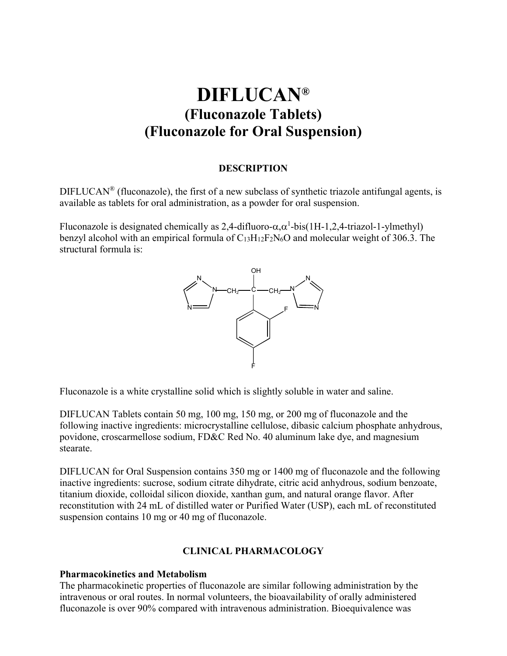# **DIFLUCAN® (Fluconazole Tablets) (Fluconazole for Oral Suspension)**

#### **DESCRIPTION**

DIFLUCAN® (fluconazole), the first of a new subclass of synthetic triazole antifungal agents, is available as tablets for oral administration, as a powder for oral suspension.

Fluconazole is designated chemically as 2,4-difluoro- $\alpha, \alpha^1$ -bis(1H-1,2,4-triazol-1-ylmethyl) benzyl alcohol with an empirical formula of  $C_{13}H_{12}F_2N_6O$  and molecular weight of 306.3. The structural formula is:



Fluconazole is a white crystalline solid which is slightly soluble in water and saline.

DIFLUCAN Tablets contain 50 mg, 100 mg, 150 mg, or 200 mg of fluconazole and the following inactive ingredients: microcrystalline cellulose, dibasic calcium phosphate anhydrous, povidone, croscarmellose sodium, FD&C Red No. 40 aluminum lake dye, and magnesium stearate.

DIFLUCAN for Oral Suspension contains 350 mg or 1400 mg of fluconazole and the following inactive ingredients: sucrose, sodium citrate dihydrate, citric acid anhydrous, sodium benzoate, titanium dioxide, colloidal silicon dioxide, xanthan gum, and natural orange flavor. After reconstitution with 24 mL of distilled water or Purified Water (USP), each mL of reconstituted suspension contains 10 mg or 40 mg of fluconazole.

## **CLINICAL PHARMACOLOGY**

## **Pharmacokinetics and Metabolism**

The pharmacokinetic properties of fluconazole are similar following administration by the intravenous or oral routes. In normal volunteers, the bioavailability of orally administered fluconazole is over 90% compared with intravenous administration. Bioequivalence was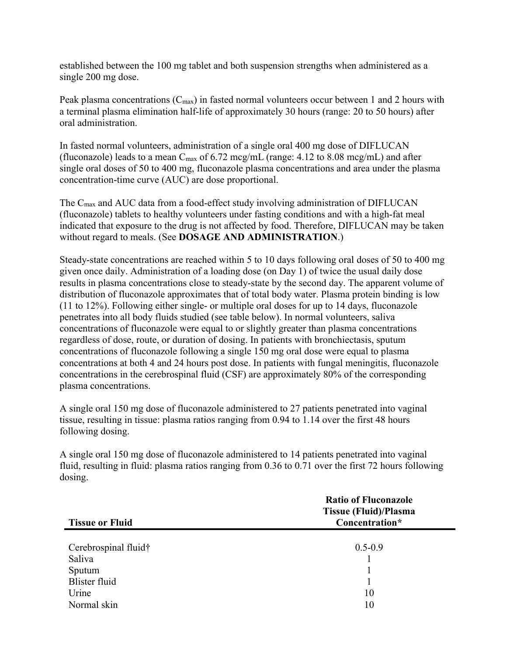established between the 100 mg tablet and both suspension strengths when administered as a single 200 mg dose.

Peak plasma concentrations  $(C_{\text{max}})$  in fasted normal volunteers occur between 1 and 2 hours with a terminal plasma elimination half-life of approximately 30 hours (range: 20 to 50 hours) after oral administration.

In fasted normal volunteers, administration of a single oral 400 mg dose of DIFLUCAN (fluconazole) leads to a mean  $C_{\text{max}}$  of 6.72 mcg/mL (range: 4.12 to 8.08 mcg/mL) and after single oral doses of 50 to 400 mg, fluconazole plasma concentrations and area under the plasma concentration-time curve (AUC) are dose proportional.

The  $C_{\text{max}}$  and AUC data from a food-effect study involving administration of DIFLUCAN (fluconazole) tablets to healthy volunteers under fasting conditions and with a high-fat meal indicated that exposure to the drug is not affected by food. Therefore, DIFLUCAN may be taken without regard to meals. (See **DOSAGE AND ADMINISTRATION**.)

Steady-state concentrations are reached within 5 to 10 days following oral doses of 50 to 400 mg given once daily. Administration of a loading dose (on Day 1) of twice the usual daily dose results in plasma concentrations close to steady-state by the second day. The apparent volume of distribution of fluconazole approximates that of total body water. Plasma protein binding is low (11 to 12%). Following either single- or multiple oral doses for up to 14 days, fluconazole penetrates into all body fluids studied (see table below). In normal volunteers, saliva concentrations of fluconazole were equal to or slightly greater than plasma concentrations regardless of dose, route, or duration of dosing. In patients with bronchiectasis, sputum concentrations of fluconazole following a single 150 mg oral dose were equal to plasma concentrations at both 4 and 24 hours post dose. In patients with fungal meningitis, fluconazole concentrations in the cerebrospinal fluid (CSF) are approximately 80% of the corresponding plasma concentrations.

A single oral 150 mg dose of fluconazole administered to 27 patients penetrated into vaginal tissue, resulting in tissue: plasma ratios ranging from 0.94 to 1.14 over the first 48 hours following dosing.

A single oral 150 mg dose of fluconazole administered to 14 patients penetrated into vaginal fluid, resulting in fluid: plasma ratios ranging from 0.36 to 0.71 over the first 72 hours following dosing.

|                        | <b>Ratio of Fluconazole</b><br><b>Tissue (Fluid)/Plasma</b> |
|------------------------|-------------------------------------------------------------|
| <b>Tissue or Fluid</b> | Concentration*                                              |
|                        |                                                             |
| Cerebrospinal fluid†   | $0.5 - 0.9$                                                 |
| Saliva                 |                                                             |
| Sputum                 |                                                             |
| <b>Blister fluid</b>   |                                                             |
| Urine                  | 10                                                          |
| Normal skin            | 10                                                          |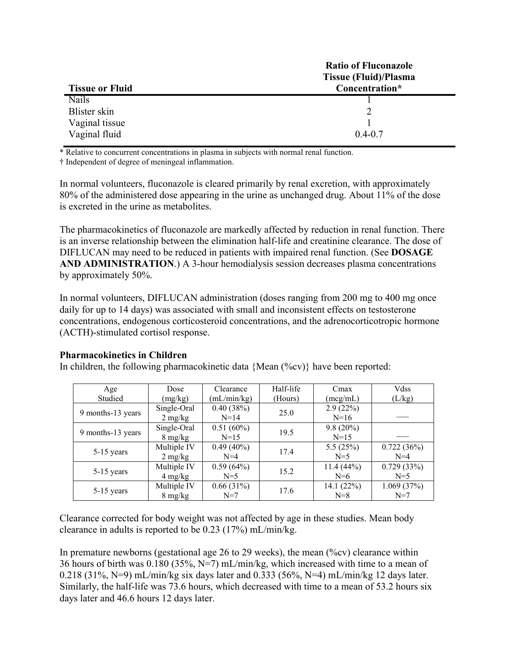|                        | <b>Ratio of Fluconazole</b> |
|------------------------|-----------------------------|
|                        | Tissue (Fluid)/Plasma       |
| <b>Tissue or Fluid</b> | Concentration*              |
| <b>Nails</b>           |                             |
| Blister skin           |                             |
| Vaginal tissue         |                             |
| Vaginal fluid          | $0.4 - 0.7$                 |

\* Relative to concurrent concentrations in plasma in subjects with normal renal function.

† Independent of degree of meningeal inflammation.

In normal volunteers, fluconazole is cleared primarily by renal excretion, with approximately 80% of the administered dose appearing in the urine as unchanged drug. About 11% of the dose is excreted in the urine as metabolites.

The pharmacokinetics of fluconazole are markedly affected by reduction in renal function. There is an inverse relationship between the elimination half-life and creatinine clearance. The dose of DIFLUCAN may need to be reduced in patients with impaired renal function. (See **DOSAGE AND ADMINISTRATION**.) A 3-hour hemodialysis session decreases plasma concentrations by approximately 50%.

In normal volunteers, DIFLUCAN administration (doses ranging from 200 mg to 400 mg once daily for up to 14 days) was associated with small and inconsistent effects on testosterone concentrations, endogenous corticosteroid concentrations, and the adrenocorticotropic hormone (ACTH)-stimulated cortisol response.

# **Pharmacokinetics in Children**

In children, the following pharmacokinetic data  ${Mean ({}^{\circ}\!\!/\circ\! v)}$  have been reported:

| Age               | Dose              | Clearance    | Half-life | Cmax         | Vdss       |
|-------------------|-------------------|--------------|-----------|--------------|------------|
| Studied           | (mg/kg)           | (mL/min/kg)  | (Hours)   | (meg/mL)     | (L/kg)     |
|                   | Single-Oral       | 0.40(38%)    | 25.0      | 2.9(22%)     |            |
| 9 months-13 years | $2 \text{ mg/kg}$ | $N=14$       |           | $N=16$       |            |
| 9 months-13 years | Single-Oral       | 0.51(60%)    | 19.5      | $9.8(20\%)$  |            |
|                   | $8 \text{ mg/kg}$ | $N=15$       |           | $N=15$       |            |
|                   | Multiple IV       | $0.49(40\%)$ | 17.4      | 5.5 $(25%)$  | 0.722(36%) |
| $5-15$ years      | $2 \text{ mg/kg}$ | $N=4$        |           | $N=5$        | $N=4$      |
|                   | Multiple IV       | 0.59(64%)    | 15.2      | 11.4(44%)    | 0.729(33%) |
| 5-15 years        | $4 \text{ mg/kg}$ | $N=5$        |           | $N=6$        | $N=5$      |
|                   | Multiple IV       | 0.66(31%)    | 17.6      | 14.1 $(22%)$ | 1.069(37%) |
| $5-15$ years      | $8 \text{ mg/kg}$ | $N=7$        |           | $N=8$        | $N=7$      |

Clearance corrected for body weight was not affected by age in these studies. Mean body clearance in adults is reported to be 0.23 (17%) mL/min/kg.

In premature newborns (gestational age 26 to 29 weeks), the mean  $(\%cv)$  clearance within 36 hours of birth was  $0.180$  (35%, N=7) mL/min/kg, which increased with time to a mean of 0.218 (31%, N=9) mL/min/kg six days later and 0.333 (56%, N=4) mL/min/kg 12 days later. Similarly, the half-life was 73.6 hours, which decreased with time to a mean of 53.2 hours six days later and 46.6 hours 12 days later.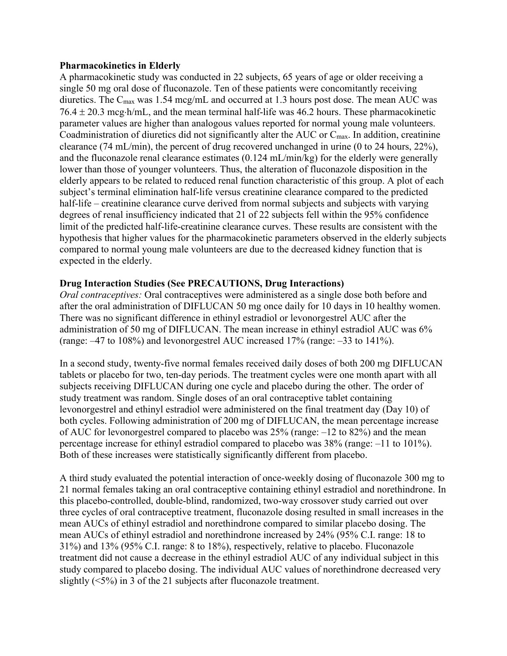## **Pharmacokinetics in Elderly**

A pharmacokinetic study was conducted in 22 subjects, 65 years of age or older receiving a single 50 mg oral dose of fluconazole. Ten of these patients were concomitantly receiving diuretics. The  $C_{\text{max}}$  was 1.54 mcg/mL and occurred at 1.3 hours post dose. The mean AUC was  $76.4 \pm 20.3$  mcg $\cdot$ h/mL, and the mean terminal half-life was 46.2 hours. These pharmacokinetic parameter values are higher than analogous values reported for normal young male volunteers. Coadministration of diuretics did not significantly alter the AUC or  $C_{\text{max}}$ . In addition, creatinine clearance (74 mL/min), the percent of drug recovered unchanged in urine (0 to 24 hours, 22%), and the fluconazole renal clearance estimates (0.124 mL/min/kg) for the elderly were generally lower than those of younger volunteers. Thus, the alteration of fluconazole disposition in the elderly appears to be related to reduced renal function characteristic of this group. A plot of each subject's terminal elimination half-life versus creatinine clearance compared to the predicted half-life – creatinine clearance curve derived from normal subjects and subjects with varying degrees of renal insufficiency indicated that 21 of 22 subjects fell within the 95% confidence limit of the predicted half-life-creatinine clearance curves. These results are consistent with the hypothesis that higher values for the pharmacokinetic parameters observed in the elderly subjects compared to normal young male volunteers are due to the decreased kidney function that is expected in the elderly.

# **Drug Interaction Studies (See PRECAUTIONS, Drug Interactions)**

*Oral contraceptives:* Oral contraceptives were administered as a single dose both before and after the oral administration of DIFLUCAN 50 mg once daily for 10 days in 10 healthy women. There was no significant difference in ethinyl estradiol or levonorgestrel AUC after the administration of 50 mg of DIFLUCAN. The mean increase in ethinyl estradiol AUC was 6% (range: –47 to 108%) and levonorgestrel AUC increased 17% (range: –33 to 141%).

In a second study, twenty-five normal females received daily doses of both 200 mg DIFLUCAN tablets or placebo for two, ten-day periods. The treatment cycles were one month apart with all subjects receiving DIFLUCAN during one cycle and placebo during the other. The order of study treatment was random. Single doses of an oral contraceptive tablet containing levonorgestrel and ethinyl estradiol were administered on the final treatment day (Day 10) of both cycles. Following administration of 200 mg of DIFLUCAN, the mean percentage increase of AUC for levonorgestrel compared to placebo was 25% (range: –12 to 82%) and the mean percentage increase for ethinyl estradiol compared to placebo was 38% (range: –11 to 101%). Both of these increases were statistically significantly different from placebo.

A third study evaluated the potential interaction of once-weekly dosing of fluconazole 300 mg to 21 normal females taking an oral contraceptive containing ethinyl estradiol and norethindrone. In this placebo-controlled, double-blind, randomized, two-way crossover study carried out over three cycles of oral contraceptive treatment, fluconazole dosing resulted in small increases in the mean AUCs of ethinyl estradiol and norethindrone compared to similar placebo dosing. The mean AUCs of ethinyl estradiol and norethindrone increased by 24% (95% C.I. range: 18 to 31%) and 13% (95% C.I. range: 8 to 18%), respectively, relative to placebo. Fluconazole treatment did not cause a decrease in the ethinyl estradiol AUC of any individual subject in this study compared to placebo dosing. The individual AUC values of norethindrone decreased very slightly  $(\leq 5\%)$  in 3 of the 21 subjects after fluconazole treatment.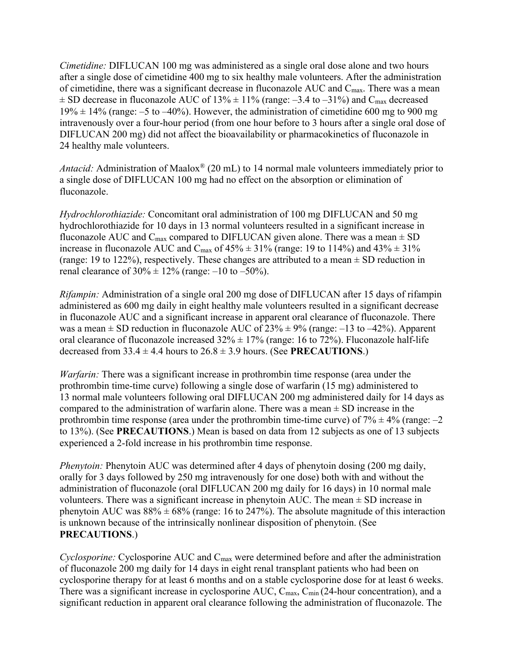*Cimetidine:* DIFLUCAN 100 mg was administered as a single oral dose alone and two hours after a single dose of cimetidine 400 mg to six healthy male volunteers. After the administration of cimetidine, there was a significant decrease in fluconazole AUC and  $C_{\text{max}}$ . There was a mean  $\pm$  SD decrease in fluconazole AUC of 13%  $\pm$  11% (range: -3.4 to -31%) and C<sub>max</sub> decreased  $19\% \pm 14\%$  (range: -5 to -40%). However, the administration of cimetidine 600 mg to 900 mg intravenously over a four-hour period (from one hour before to 3 hours after a single oral dose of DIFLUCAN 200 mg) did not affect the bioavailability or pharmacokinetics of fluconazole in 24 healthy male volunteers.

*Antacid:* Administration of Maalox® (20 mL) to 14 normal male volunteers immediately prior to a single dose of DIFLUCAN 100 mg had no effect on the absorption or elimination of fluconazole.

*Hydrochlorothiazide:* Concomitant oral administration of 100 mg DIFLUCAN and 50 mg hydrochlorothiazide for 10 days in 13 normal volunteers resulted in a significant increase in fluconazole AUC and  $C_{\text{max}}$  compared to DIFLUCAN given alone. There was a mean  $\pm$  SD increase in fluconazole AUC and C<sub>max</sub> of  $45\% \pm 31\%$  (range: 19 to 114%) and  $43\% \pm 31\%$ (range: 19 to 122%), respectively. These changes are attributed to a mean  $\pm$  SD reduction in renal clearance of  $30\% \pm 12\%$  (range:  $-10$  to  $-50\%$ ).

*Rifampin:* Administration of a single oral 200 mg dose of DIFLUCAN after 15 days of rifampin administered as 600 mg daily in eight healthy male volunteers resulted in a significant decrease in fluconazole AUC and a significant increase in apparent oral clearance of fluconazole. There was a mean  $\pm$  SD reduction in fluconazole AUC of 23%  $\pm$  9% (range: -13 to -42%). Apparent oral clearance of fluconazole increased  $32\% \pm 17\%$  (range: 16 to 72%). Fluconazole half-life decreased from  $33.4 \pm 4.4$  hours to  $26.8 \pm 3.9$  hours. (See **PRECAUTIONS**.)

*Warfarin:* There was a significant increase in prothrombin time response (area under the prothrombin time-time curve) following a single dose of warfarin (15 mg) administered to 13 normal male volunteers following oral DIFLUCAN 200 mg administered daily for 14 days as compared to the administration of warfarin alone. There was a mean  $\pm$  SD increase in the prothrombin time response (area under the prothrombin time-time curve) of  $7\% \pm 4\%$  (range:  $-2$ to 13%). (See **PRECAUTIONS**.) Mean is based on data from 12 subjects as one of 13 subjects experienced a 2-fold increase in his prothrombin time response.

*Phenytoin:* Phenytoin AUC was determined after 4 days of phenytoin dosing (200 mg daily, orally for 3 days followed by 250 mg intravenously for one dose) both with and without the administration of fluconazole (oral DIFLUCAN 200 mg daily for 16 days) in 10 normal male volunteers. There was a significant increase in phenytoin AUC. The mean  $\pm$  SD increase in phenytoin AUC was  $88\% \pm 68\%$  (range: 16 to 247%). The absolute magnitude of this interaction is unknown because of the intrinsically nonlinear disposition of phenytoin. (See **PRECAUTIONS**.)

*Cyclosporine:* Cyclosporine AUC and C<sub>max</sub> were determined before and after the administration of fluconazole 200 mg daily for 14 days in eight renal transplant patients who had been on cyclosporine therapy for at least 6 months and on a stable cyclosporine dose for at least 6 weeks. There was a significant increase in cyclosporine AUC, C<sub>max</sub>, C<sub>min</sub> (24-hour concentration), and a significant reduction in apparent oral clearance following the administration of fluconazole. The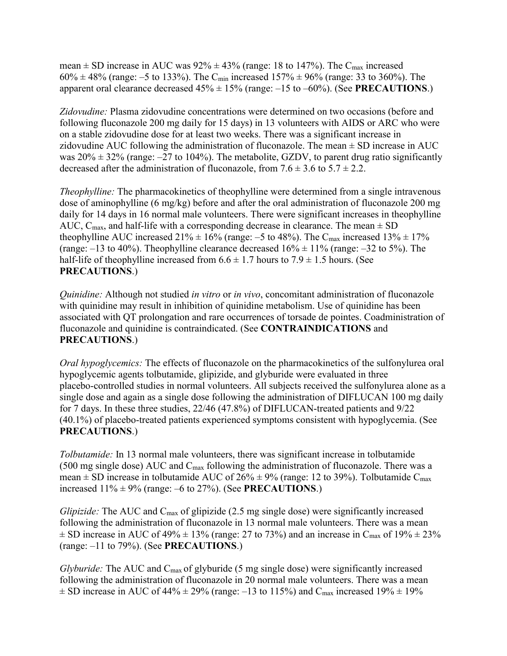mean  $\pm$  SD increase in AUC was 92%  $\pm$  43% (range: 18 to 147%). The C<sub>max</sub> increased  $60\% \pm 48\%$  (range: -5 to 133%). The C<sub>min</sub> increased 157%  $\pm$  96% (range: 33 to 360%). The apparent oral clearance decreased  $45\% \pm 15\%$  (range:  $-15$  to  $-60\%$ ). (See **PRECAUTIONS**.)

*Zidovudine:* Plasma zidovudine concentrations were determined on two occasions (before and following fluconazole 200 mg daily for 15 days) in 13 volunteers with AIDS or ARC who were on a stable zidovudine dose for at least two weeks. There was a significant increase in zidovudine AUC following the administration of fluconazole. The mean  $\pm$  SD increase in AUC was  $20\% \pm 32\%$  (range:  $-27$  to 104%). The metabolite, GZDV, to parent drug ratio significantly decreased after the administration of fluconazole, from  $7.6 \pm 3.6$  to  $5.7 \pm 2.2$ .

*Theophylline:* The pharmacokinetics of theophylline were determined from a single intravenous dose of aminophylline (6 mg/kg) before and after the oral administration of fluconazole 200 mg daily for 14 days in 16 normal male volunteers. There were significant increases in theophylline AUC,  $C_{\text{max}}$ , and half-life with a corresponding decrease in clearance. The mean  $\pm$  SD theophylline AUC increased  $21\% \pm 16\%$  (range: -5 to 48%). The C<sub>max</sub> increased  $13\% \pm 17\%$ (range:  $-13$  to 40%). Theophylline clearance decreased  $16\% \pm 11\%$  (range:  $-32$  to 5%). The half-life of theophylline increased from  $6.6 \pm 1.7$  hours to  $7.9 \pm 1.5$  hours. (See **PRECAUTIONS**.)

*Quinidine:* Although not studied *in vitro* or *in vivo*, concomitant administration of fluconazole with quinidine may result in inhibition of quinidine metabolism. Use of quinidine has been associated with QT prolongation and rare occurrences of torsade de pointes. Coadministration of fluconazole and quinidine is contraindicated. (See **CONTRAINDICATIONS** and **PRECAUTIONS**.)

*Oral hypoglycemics:* The effects of fluconazole on the pharmacokinetics of the sulfonylurea oral hypoglycemic agents tolbutamide, glipizide, and glyburide were evaluated in three placebo-controlled studies in normal volunteers. All subjects received the sulfonylurea alone as a single dose and again as a single dose following the administration of DIFLUCAN 100 mg daily for 7 days. In these three studies, 22/46 (47.8%) of DIFLUCAN-treated patients and 9/22 (40.1%) of placebo-treated patients experienced symptoms consistent with hypoglycemia. (See **PRECAUTIONS**.)

*Tolbutamide:* In 13 normal male volunteers, there was significant increase in tolbutamide (500 mg single dose) AUC and  $C_{\text{max}}$  following the administration of fluconazole. There was a mean  $\pm$  SD increase in tolbutamide AUC of 26%  $\pm$  9% (range: 12 to 39%). Tolbutamide C<sub>max</sub> increased  $11\% \pm 9\%$  (range:  $-6$  to 27%). (See **PRECAUTIONS**.)

*Glipizide:* The AUC and C<sub>max</sub> of glipizide (2.5 mg single dose) were significantly increased following the administration of fluconazole in 13 normal male volunteers. There was a mean  $\pm$  SD increase in AUC of 49%  $\pm$  13% (range: 27 to 73%) and an increase in C<sub>max</sub> of 19%  $\pm$  23% (range: –11 to 79%). (See **PRECAUTIONS**.)

*Glyburide:* The AUC and C<sub>max</sub> of glyburide (5 mg single dose) were significantly increased following the administration of fluconazole in 20 normal male volunteers. There was a mean  $\pm$  SD increase in AUC of 44%  $\pm$  29% (range: -13 to 115%) and C<sub>max</sub> increased 19%  $\pm$  19%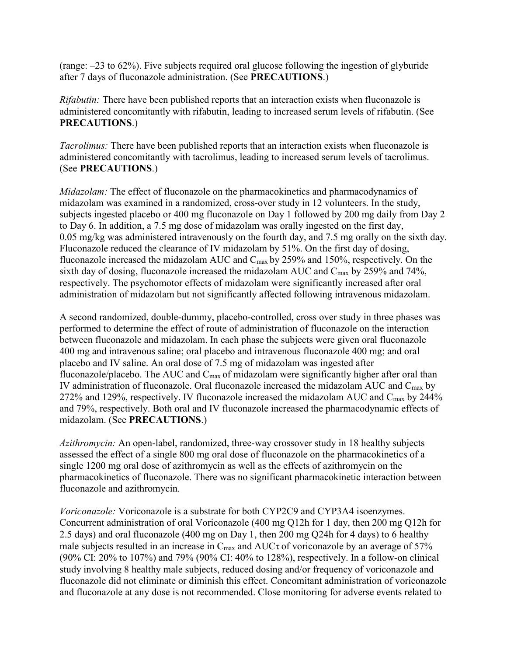(range: –23 to 62%). Five subjects required oral glucose following the ingestion of glyburide after 7 days of fluconazole administration. (See **PRECAUTIONS**.)

*Rifabutin:* There have been published reports that an interaction exists when fluconazole is administered concomitantly with rifabutin, leading to increased serum levels of rifabutin. (See **PRECAUTIONS**.)

*Tacrolimus:* There have been published reports that an interaction exists when fluconazole is administered concomitantly with tacrolimus, leading to increased serum levels of tacrolimus. (See **PRECAUTIONS**.)

*Midazolam:* The effect of fluconazole on the pharmacokinetics and pharmacodynamics of midazolam was examined in a randomized, cross-over study in 12 volunteers. In the study, subjects ingested placebo or 400 mg fluconazole on Day 1 followed by 200 mg daily from Day 2 to Day 6. In addition, a 7.5 mg dose of midazolam was orally ingested on the first day, 0.05 mg/kg was administered intravenously on the fourth day, and 7.5 mg orally on the sixth day. Fluconazole reduced the clearance of IV midazolam by 51%. On the first day of dosing, fluconazole increased the midazolam AUC and  $C_{\text{max}}$  by 259% and 150%, respectively. On the sixth day of dosing, fluconazole increased the midazolam AUC and  $C_{\text{max}}$  by 259% and 74%, respectively. The psychomotor effects of midazolam were significantly increased after oral administration of midazolam but not significantly affected following intravenous midazolam.

A second randomized, double-dummy, placebo-controlled, cross over study in three phases was performed to determine the effect of route of administration of fluconazole on the interaction between fluconazole and midazolam. In each phase the subjects were given oral fluconazole 400 mg and intravenous saline; oral placebo and intravenous fluconazole 400 mg; and oral placebo and IV saline. An oral dose of 7.5 mg of midazolam was ingested after fluconazole/placebo. The AUC and  $C_{\text{max}}$  of midazolam were significantly higher after oral than IV administration of fluconazole. Oral fluconazole increased the midazolam AUC and  $C_{\text{max}}$  by 272% and 129%, respectively. IV fluconazole increased the midazolam AUC and  $C_{\text{max}}$  by 244% and 79%, respectively. Both oral and IV fluconazole increased the pharmacodynamic effects of midazolam. (See **PRECAUTIONS**.)

*Azithromycin:* An open-label, randomized, three-way crossover study in 18 healthy subjects assessed the effect of a single 800 mg oral dose of fluconazole on the pharmacokinetics of a single 1200 mg oral dose of azithromycin as well as the effects of azithromycin on the pharmacokinetics of fluconazole. There was no significant pharmacokinetic interaction between fluconazole and azithromycin.

*Voriconazole:* Voriconazole is a substrate for both CYP2C9 and CYP3A4 isoenzymes. Concurrent administration of oral Voriconazole (400 mg Q12h for 1 day, then 200 mg Q12h for 2.5 days) and oral fluconazole (400 mg on Day 1, then 200 mg Q24h for 4 days) to 6 healthy male subjects resulted in an increase in  $C_{\text{max}}$  and  $AUC\tau$  of voriconazole by an average of 57% (90% CI: 20% to 107%) and 79% (90% CI: 40% to 128%), respectively. In a follow-on clinical study involving 8 healthy male subjects, reduced dosing and/or frequency of voriconazole and fluconazole did not eliminate or diminish this effect. Concomitant administration of voriconazole and fluconazole at any dose is not recommended. Close monitoring for adverse events related to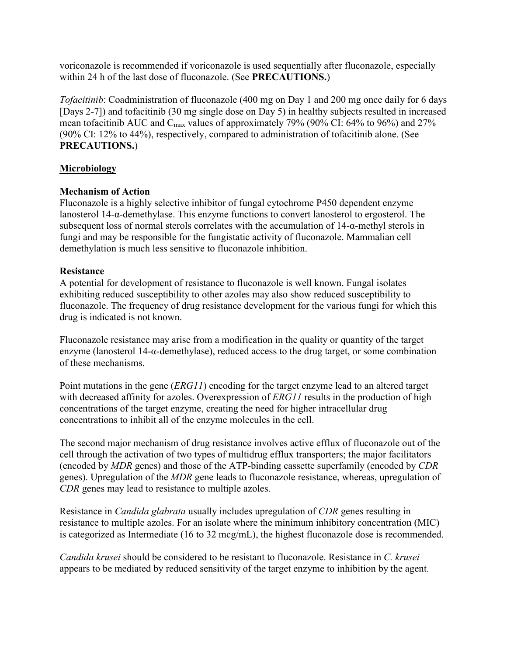voriconazole is recommended if voriconazole is used sequentially after fluconazole, especially within 24 h of the last dose of fluconazole. (See **PRECAUTIONS.**)

*Tofacitinib*: Coadministration of fluconazole (400 mg on Day 1 and 200 mg once daily for 6 days [Days 2-7]) and tofacitinib (30 mg single dose on Day 5) in healthy subjects resulted in increased mean tofacitinib AUC and C<sub>max</sub> values of approximately 79% (90% CI: 64% to 96%) and 27% (90% CI: 12% to 44%), respectively, compared to administration of tofacitinib alone. (See **PRECAUTIONS.**)

# **Microbiology**

# **Mechanism of Action**

Fluconazole is a highly selective inhibitor of fungal cytochrome P450 dependent enzyme lanosterol 14-α-demethylase. This enzyme functions to convert lanosterol to ergosterol. The subsequent loss of normal sterols correlates with the accumulation of 14-α-methyl sterols in fungi and may be responsible for the fungistatic activity of fluconazole. Mammalian cell demethylation is much less sensitive to fluconazole inhibition.

# **Resistance**

A potential for development of resistance to fluconazole is well known. Fungal isolates exhibiting reduced susceptibility to other azoles may also show reduced susceptibility to fluconazole. The frequency of drug resistance development for the various fungi for which this drug is indicated is not known.

Fluconazole resistance may arise from a modification in the quality or quantity of the target enzyme (lanosterol 14-α-demethylase), reduced access to the drug target, or some combination of these mechanisms.

Point mutations in the gene (*ERG11*) encoding for the target enzyme lead to an altered target with decreased affinity for azoles. Overexpression of *ERG11* results in the production of high concentrations of the target enzyme, creating the need for higher intracellular drug concentrations to inhibit all of the enzyme molecules in the cell.

The second major mechanism of drug resistance involves active efflux of fluconazole out of the cell through the activation of two types of multidrug efflux transporters; the major facilitators (encoded by *MDR* genes) and those of the ATP-binding cassette superfamily (encoded by *CDR* genes). Upregulation of the *MDR* gene leads to fluconazole resistance, whereas, upregulation of *CDR* genes may lead to resistance to multiple azoles.

Resistance in *Candida glabrata* usually includes upregulation of *CDR* genes resulting in resistance to multiple azoles. For an isolate where the minimum inhibitory concentration (MIC) is categorized as Intermediate (16 to 32 mcg/mL), the highest fluconazole dose is recommended.

*Candida krusei* should be considered to be resistant to fluconazole. Resistance in *C. krusei* appears to be mediated by reduced sensitivity of the target enzyme to inhibition by the agent.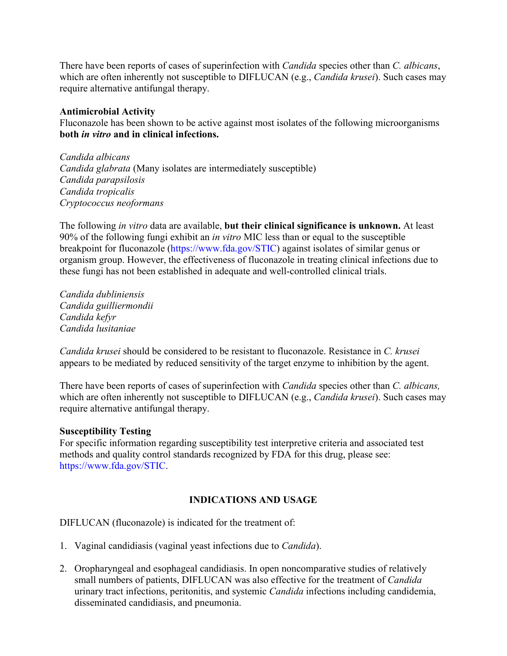There have been reports of cases of superinfection with *Candida* species other than *C. albicans*, which are often inherently not susceptible to DIFLUCAN (e.g., *Candida krusei*). Such cases may require alternative antifungal therapy.

# **Antimicrobial Activity**

Fluconazole has been shown to be active against most isolates of the following microorganisms **both** *in vitro* **and in clinical infections.**

*Candida albicans Candida glabrata* (Many isolates are intermediately susceptible) *Candida parapsilosis Candida tropicalis Cryptococcus neoformans*

The following *in vitro* data are available, **but their clinical significance is unknown.** At least 90% of the following fungi exhibit an *in vitro* MIC less than or equal to the susceptible breakpoint for fluconazole [\(https://www.fda.gov/STIC](https://www.fda.gov/STIC)) against isolates of similar genus or organism group. However, the effectiveness of fluconazole in treating clinical infections due to these fungi has not been established in adequate and well-controlled clinical trials.

*Candida dubliniensis Candida guilliermondii Candida kefyr Candida lusitaniae*

*Candida krusei* should be considered to be resistant to fluconazole. Resistance in *C. krusei*  appears to be mediated by reduced sensitivity of the target enzyme to inhibition by the agent.

There have been reports of cases of superinfection with *Candida* species other than *C. albicans,*  which are often inherently not susceptible to DIFLUCAN (e.g., *Candida krusei*). Such cases may require alternative antifungal therapy.

## **Susceptibility Testing**

For specific information regarding susceptibility test interpretive criteria and associated test methods and quality control standards recognized by FDA for this drug, please see: <https://www.fda.gov/STIC>.

# **INDICATIONS AND USAGE**

DIFLUCAN (fluconazole) is indicated for the treatment of:

- 1. Vaginal candidiasis (vaginal yeast infections due to *Candida*).
- 2. Oropharyngeal and esophageal candidiasis. In open noncomparative studies of relatively small numbers of patients, DIFLUCAN was also effective for the treatment of *Candida* urinary tract infections, peritonitis, and systemic *Candida* infections including candidemia, disseminated candidiasis, and pneumonia.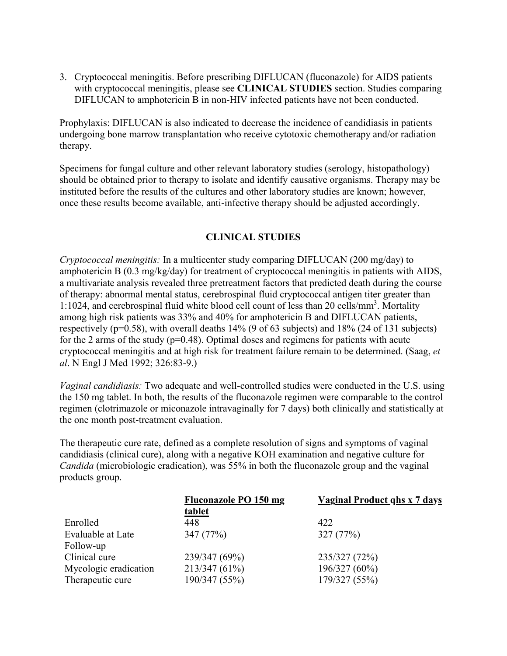3. Cryptococcal meningitis. Before prescribing DIFLUCAN (fluconazole) for AIDS patients with cryptococcal meningitis, please see **CLINICAL STUDIES** section. Studies comparing DIFLUCAN to amphotericin B in non-HIV infected patients have not been conducted.

Prophylaxis: DIFLUCAN is also indicated to decrease the incidence of candidiasis in patients undergoing bone marrow transplantation who receive cytotoxic chemotherapy and/or radiation therapy.

Specimens for fungal culture and other relevant laboratory studies (serology, histopathology) should be obtained prior to therapy to isolate and identify causative organisms. Therapy may be instituted before the results of the cultures and other laboratory studies are known; however, once these results become available, anti-infective therapy should be adjusted accordingly.

# **CLINICAL STUDIES**

*Cryptococcal meningitis:* In a multicenter study comparing DIFLUCAN (200 mg/day) to amphotericin B (0.3 mg/kg/day) for treatment of cryptococcal meningitis in patients with AIDS, a multivariate analysis revealed three pretreatment factors that predicted death during the course of therapy: abnormal mental status, cerebrospinal fluid cryptococcal antigen titer greater than 1:1024, and cerebrospinal fluid white blood cell count of less than 20 cells/mm<sup>3</sup>. Mortality among high risk patients was 33% and 40% for amphotericin B and DIFLUCAN patients, respectively (p=0.58), with overall deaths 14% (9 of 63 subjects) and 18% (24 of 131 subjects) for the 2 arms of the study ( $p=0.48$ ). Optimal doses and regimens for patients with acute cryptococcal meningitis and at high risk for treatment failure remain to be determined. (Saag, *et al*. N Engl J Med 1992; 326:83-9.)

*Vaginal candidiasis:* Two adequate and well-controlled studies were conducted in the U.S. using the 150 mg tablet. In both, the results of the fluconazole regimen were comparable to the control regimen (clotrimazole or miconazole intravaginally for 7 days) both clinically and statistically at the one month post-treatment evaluation.

The therapeutic cure rate, defined as a complete resolution of signs and symptoms of vaginal candidiasis (clinical cure), along with a negative KOH examination and negative culture for *Candida* (microbiologic eradication), was 55% in both the fluconazole group and the vaginal products group.

|                       | <b>Fluconazole PO 150 mg</b> | <b>Vaginal Product qhs x 7 days</b> |
|-----------------------|------------------------------|-------------------------------------|
|                       | tablet                       |                                     |
| Enrolled              | 448                          | 422                                 |
| Evaluable at Late     | 347 (77%)                    | 327(77%)                            |
| Follow-up             |                              |                                     |
| Clinical cure         | 239/347 (69%)                | 235/327 (72%)                       |
| Mycologic eradication | 213/347 (61%)                | 196/327 (60%)                       |
| Therapeutic cure      | 190/347 (55%)                | 179/327 (55%)                       |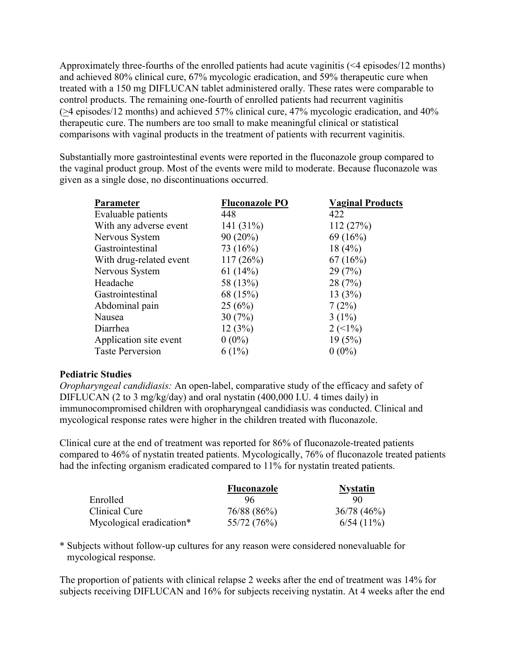Approximately three-fourths of the enrolled patients had acute vaginitis (<4 episodes/12 months) and achieved 80% clinical cure, 67% mycologic eradication, and 59% therapeutic cure when treated with a 150 mg DIFLUCAN tablet administered orally. These rates were comparable to control products. The remaining one-fourth of enrolled patients had recurrent vaginitis (>4 episodes/12 months) and achieved 57% clinical cure, 47% mycologic eradication, and 40% therapeutic cure. The numbers are too small to make meaningful clinical or statistical comparisons with vaginal products in the treatment of patients with recurrent vaginitis.

Substantially more gastrointestinal events were reported in the fluconazole group compared to the vaginal product group. Most of the events were mild to moderate. Because fluconazole was given as a single dose, no discontinuations occurred.

| <b>Fluconazole PO</b> | <b>Vaginal Products</b>     |
|-----------------------|-----------------------------|
| 448                   | 422                         |
| 141 $(31\%)$          | 112(27%)                    |
| $90(20\%)$            | 69(16%)                     |
| 73 (16%)              | 18(4%)                      |
| 117(26%)              | 67(16%)                     |
| 61 $(14%)$            | 29(7%)                      |
| 58 (13%)              | 28(7%)                      |
| 68 (15%)              | 13(3%)                      |
| 25(6%)                | 7(2%)                       |
| 30(7%)                | $3(1\%)$                    |
| 12(3%)                | $2 \left( \leq 1\% \right)$ |
| $0(0\%)$              | 19(5%)                      |
| $6(1\%)$              | $0(0\%)$                    |
|                       |                             |

## **Pediatric Studies**

*Oropharyngeal candidiasis:* An open-label, comparative study of the efficacy and safety of DIFLUCAN (2 to 3 mg/kg/day) and oral nystatin (400,000 I.U. 4 times daily) in immunocompromised children with oropharyngeal candidiasis was conducted. Clinical and mycological response rates were higher in the children treated with fluconazole.

Clinical cure at the end of treatment was reported for 86% of fluconazole-treated patients compared to 46% of nystatin treated patients. Mycologically, 76% of fluconazole treated patients had the infecting organism eradicated compared to 11% for nystatin treated patients.

|                          | <b>Fluconazole</b> | <b>Nystatin</b> |
|--------------------------|--------------------|-----------------|
| Enrolled                 | 96                 | 90              |
| Clinical Cure            | 76/88 (86%)        | 36/78(46%)      |
| Mycological eradication* | 55/72 (76%)        | $6/54(11\%)$    |

\* Subjects without follow-up cultures for any reason were considered nonevaluable for mycological response.

The proportion of patients with clinical relapse 2 weeks after the end of treatment was 14% for subjects receiving DIFLUCAN and 16% for subjects receiving nystatin. At 4 weeks after the end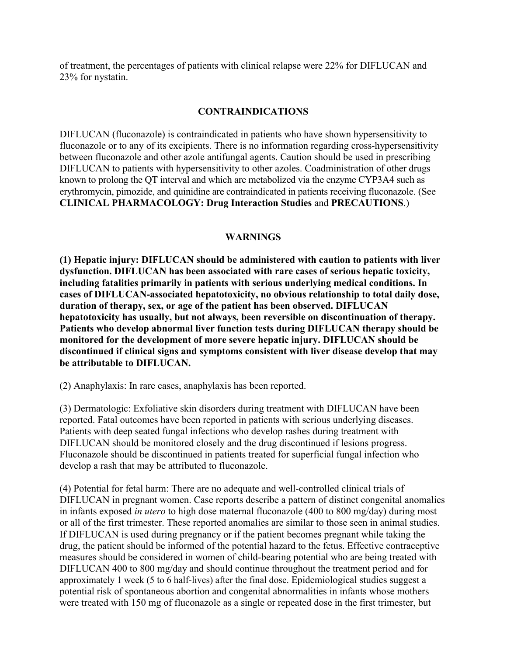of treatment, the percentages of patients with clinical relapse were 22% for DIFLUCAN and 23% for nystatin.

## **CONTRAINDICATIONS**

DIFLUCAN (fluconazole) is contraindicated in patients who have shown hypersensitivity to fluconazole or to any of its excipients. There is no information regarding cross-hypersensitivity between fluconazole and other azole antifungal agents. Caution should be used in prescribing DIFLUCAN to patients with hypersensitivity to other azoles. Coadministration of other drugs known to prolong the QT interval and which are metabolized via the enzyme CYP3A4 such as erythromycin, pimozide, and quinidine are contraindicated in patients receiving fluconazole. (See **CLINICAL PHARMACOLOGY: Drug Interaction Studies** and **PRECAUTIONS**.)

## **WARNINGS**

**(1) Hepatic injury: DIFLUCAN should be administered with caution to patients with liver dysfunction. DIFLUCAN has been associated with rare cases of serious hepatic toxicity, including fatalities primarily in patients with serious underlying medical conditions. In cases of DIFLUCAN-associated hepatotoxicity, no obvious relationship to total daily dose, duration of therapy, sex, or age of the patient has been observed. DIFLUCAN hepatotoxicity has usually, but not always, been reversible on discontinuation of therapy. Patients who develop abnormal liver function tests during DIFLUCAN therapy should be monitored for the development of more severe hepatic injury. DIFLUCAN should be discontinued if clinical signs and symptoms consistent with liver disease develop that may be attributable to DIFLUCAN.**

(2) Anaphylaxis: In rare cases, anaphylaxis has been reported.

(3) Dermatologic: Exfoliative skin disorders during treatment with DIFLUCAN have been reported. Fatal outcomes have been reported in patients with serious underlying diseases. Patients with deep seated fungal infections who develop rashes during treatment with DIFLUCAN should be monitored closely and the drug discontinued if lesions progress. Fluconazole should be discontinued in patients treated for superficial fungal infection who develop a rash that may be attributed to fluconazole.

(4) Potential for fetal harm: There are no adequate and well-controlled clinical trials of DIFLUCAN in pregnant women. Case reports describe a pattern of distinct congenital anomalies in infants exposed *in utero* to high dose maternal fluconazole (400 to 800 mg/day) during most or all of the first trimester. These reported anomalies are similar to those seen in animal studies. If DIFLUCAN is used during pregnancy or if the patient becomes pregnant while taking the drug, the patient should be informed of the potential hazard to the fetus. Effective contraceptive measures should be considered in women of child-bearing potential who are being treated with DIFLUCAN 400 to 800 mg/day and should continue throughout the treatment period and for approximately 1 week (5 to 6 half-lives) after the final dose. Epidemiological studies suggest a potential risk of spontaneous abortion and congenital abnormalities in infants whose mothers were treated with 150 mg of fluconazole as a single or repeated dose in the first trimester, but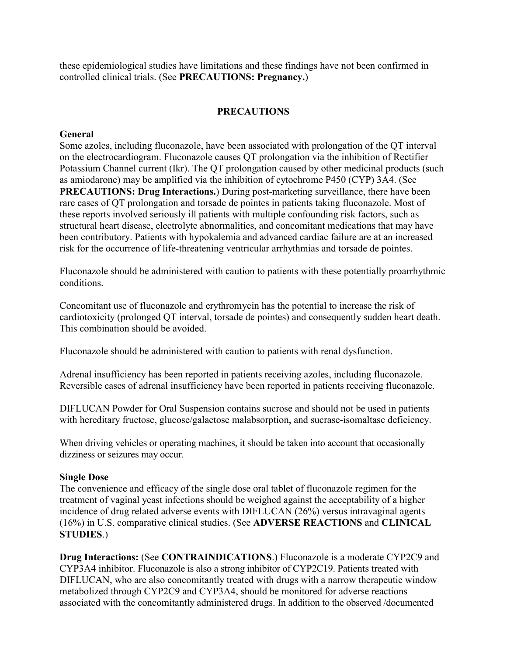these epidemiological studies have limitations and these findings have not been confirmed in controlled clinical trials. (See **PRECAUTIONS: Pregnancy.**)

# **PRECAUTIONS**

# **General**

Some azoles, including fluconazole, have been associated with prolongation of the QT interval on the electrocardiogram. Fluconazole causes QT prolongation via the inhibition of Rectifier Potassium Channel current (Ikr). The QT prolongation caused by other medicinal products (such as amiodarone) may be amplified via the inhibition of cytochrome P450 (CYP) 3A4. (See **PRECAUTIONS: Drug Interactions.**) During post-marketing surveillance, there have been rare cases of QT prolongation and torsade de pointes in patients taking fluconazole. Most of these reports involved seriously ill patients with multiple confounding risk factors, such as structural heart disease, electrolyte abnormalities, and concomitant medications that may have been contributory. Patients with hypokalemia and advanced cardiac failure are at an increased risk for the occurrence of life-threatening ventricular arrhythmias and torsade de pointes.

Fluconazole should be administered with caution to patients with these potentially proarrhythmic conditions.

Concomitant use of fluconazole and erythromycin has the potential to increase the risk of cardiotoxicity (prolonged QT interval, torsade de pointes) and consequently sudden heart death. This combination should be avoided.

Fluconazole should be administered with caution to patients with renal dysfunction.

Adrenal insufficiency has been reported in patients receiving azoles, including fluconazole. Reversible cases of adrenal insufficiency have been reported in patients receiving fluconazole.

DIFLUCAN Powder for Oral Suspension contains sucrose and should not be used in patients with hereditary fructose, glucose/galactose malabsorption, and sucrase-isomaltase deficiency.

When driving vehicles or operating machines, it should be taken into account that occasionally dizziness or seizures may occur.

## **Single Dose**

The convenience and efficacy of the single dose oral tablet of fluconazole regimen for the treatment of vaginal yeast infections should be weighed against the acceptability of a higher incidence of drug related adverse events with DIFLUCAN (26%) versus intravaginal agents (16%) in U.S. comparative clinical studies. (See **ADVERSE REACTIONS** and **CLINICAL STUDIES**.)

**Drug Interactions:** (See **CONTRAINDICATIONS**.) Fluconazole is a moderate CYP2C9 and CYP3A4 inhibitor. Fluconazole is also a strong inhibitor of CYP2C19. Patients treated with DIFLUCAN, who are also concomitantly treated with drugs with a narrow therapeutic window metabolized through CYP2C9 and CYP3A4, should be monitored for adverse reactions associated with the concomitantly administered drugs. In addition to the observed /documented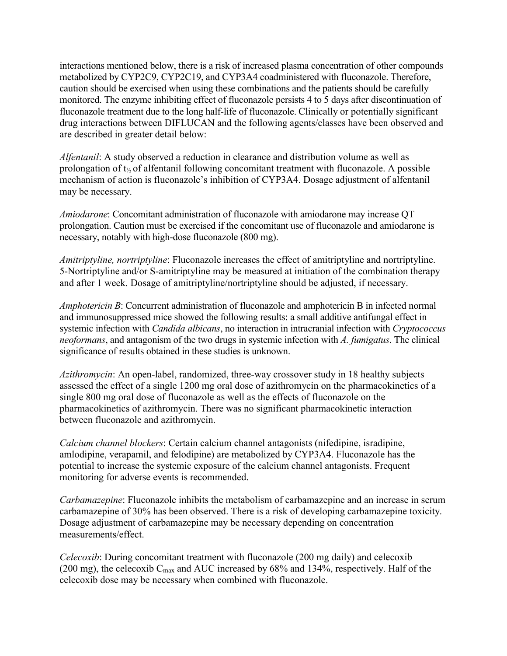interactions mentioned below, there is a risk of increased plasma concentration of other compounds metabolized by CYP2C9, CYP2C19, and CYP3A4 coadministered with fluconazole. Therefore, caution should be exercised when using these combinations and the patients should be carefully monitored. The enzyme inhibiting effect of fluconazole persists 4 to 5 days after discontinuation of fluconazole treatment due to the long half-life of fluconazole. Clinically or potentially significant drug interactions between DIFLUCAN and the following agents/classes have been observed and are described in greater detail below:

*Alfentanil*: A study observed a reduction in clearance and distribution volume as well as prolongation of  $t_{\frac{1}{2}}$  of alfentanil following concomitant treatment with fluconazole. A possible mechanism of action is fluconazole's inhibition of CYP3A4. Dosage adjustment of alfentanil may be necessary.

*Amiodarone*: Concomitant administration of fluconazole with amiodarone may increase QT prolongation. Caution must be exercised if the concomitant use of fluconazole and amiodarone is necessary, notably with high-dose fluconazole (800 mg).

*Amitriptyline, nortriptyline*: Fluconazole increases the effect of amitriptyline and nortriptyline. 5-Nortriptyline and/or S-amitriptyline may be measured at initiation of the combination therapy and after 1 week. Dosage of amitriptyline/nortriptyline should be adjusted, if necessary.

*Amphotericin B*: Concurrent administration of fluconazole and amphotericin B in infected normal and immunosuppressed mice showed the following results: a small additive antifungal effect in systemic infection with *Candida albicans*, no interaction in intracranial infection with *Cryptococcus neoformans*, and antagonism of the two drugs in systemic infection with *A. fumigatus*. The clinical significance of results obtained in these studies is unknown.

*Azithromycin*: An open-label, randomized, three-way crossover study in 18 healthy subjects assessed the effect of a single 1200 mg oral dose of azithromycin on the pharmacokinetics of a single 800 mg oral dose of fluconazole as well as the effects of fluconazole on the pharmacokinetics of azithromycin. There was no significant pharmacokinetic interaction between fluconazole and azithromycin.

*Calcium channel blockers*: Certain calcium channel antagonists (nifedipine, isradipine, amlodipine, verapamil, and felodipine) are metabolized by CYP3A4. Fluconazole has the potential to increase the systemic exposure of the calcium channel antagonists. Frequent monitoring for adverse events is recommended.

*Carbamazepine*: Fluconazole inhibits the metabolism of carbamazepine and an increase in serum carbamazepine of 30% has been observed. There is a risk of developing carbamazepine toxicity. Dosage adjustment of carbamazepine may be necessary depending on concentration measurements/effect.

*Celecoxib*: During concomitant treatment with fluconazole (200 mg daily) and celecoxib (200 mg), the celecoxib  $C_{\text{max}}$  and AUC increased by 68% and 134%, respectively. Half of the celecoxib dose may be necessary when combined with fluconazole.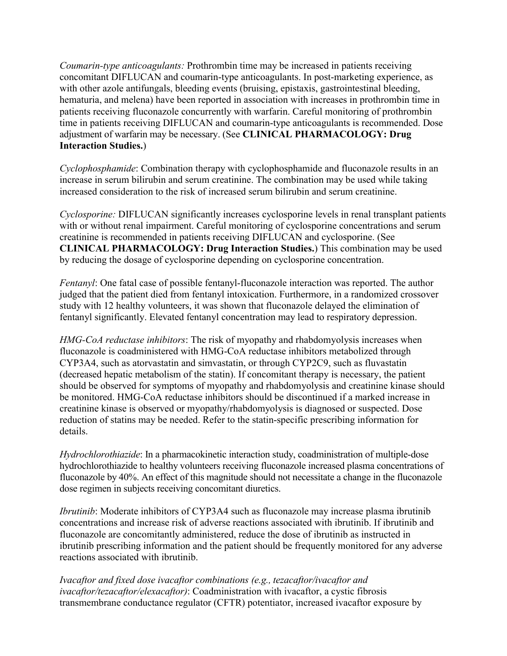*Coumarin-type anticoagulants:* Prothrombin time may be increased in patients receiving concomitant DIFLUCAN and coumarin-type anticoagulants. In post-marketing experience, as with other azole antifungals, bleeding events (bruising, epistaxis, gastrointestinal bleeding, hematuria, and melena) have been reported in association with increases in prothrombin time in patients receiving fluconazole concurrently with warfarin. Careful monitoring of prothrombin time in patients receiving DIFLUCAN and coumarin-type anticoagulants is recommended. Dose adjustment of warfarin may be necessary. (See **CLINICAL PHARMACOLOGY: Drug Interaction Studies.**)

*Cyclophosphamide*: Combination therapy with cyclophosphamide and fluconazole results in an increase in serum bilirubin and serum creatinine. The combination may be used while taking increased consideration to the risk of increased serum bilirubin and serum creatinine.

*Cyclosporine:* DIFLUCAN significantly increases cyclosporine levels in renal transplant patients with or without renal impairment. Careful monitoring of cyclosporine concentrations and serum creatinine is recommended in patients receiving DIFLUCAN and cyclosporine. (See **CLINICAL PHARMACOLOGY: Drug Interaction Studies.**) This combination may be used by reducing the dosage of cyclosporine depending on cyclosporine concentration.

*Fentanyl*: One fatal case of possible fentanyl-fluconazole interaction was reported. The author judged that the patient died from fentanyl intoxication. Furthermore, in a randomized crossover study with 12 healthy volunteers, it was shown that fluconazole delayed the elimination of fentanyl significantly. Elevated fentanyl concentration may lead to respiratory depression.

*HMG-CoA reductase inhibitors*: The risk of myopathy and rhabdomyolysis increases when fluconazole is coadministered with HMG-CoA reductase inhibitors metabolized through CYP3A4, such as atorvastatin and simvastatin, or through CYP2C9, such as fluvastatin (decreased hepatic metabolism of the statin). If concomitant therapy is necessary, the patient should be observed for symptoms of myopathy and rhabdomyolysis and creatinine kinase should be monitored. HMG-CoA reductase inhibitors should be discontinued if a marked increase in creatinine kinase is observed or myopathy/rhabdomyolysis is diagnosed or suspected. Dose reduction of statins may be needed. Refer to the statin-specific prescribing information for details.

*Hydrochlorothiazide*: In a pharmacokinetic interaction study, coadministration of multiple-dose hydrochlorothiazide to healthy volunteers receiving fluconazole increased plasma concentrations of fluconazole by 40%. An effect of this magnitude should not necessitate a change in the fluconazole dose regimen in subjects receiving concomitant diuretics.

*Ibrutinib*: Moderate inhibitors of CYP3A4 such as fluconazole may increase plasma ibrutinib concentrations and increase risk of adverse reactions associated with ibrutinib. If ibrutinib and fluconazole are concomitantly administered, reduce the dose of ibrutinib as instructed in ibrutinib prescribing information and the patient should be frequently monitored for any adverse reactions associated with ibrutinib.

*Ivacaftor and fixed dose ivacaftor combinations (e.g., tezacaftor/ivacaftor and ivacaftor/tezacaftor/elexacaftor)*: Coadministration with ivacaftor, a cystic fibrosis transmembrane conductance regulator (CFTR) potentiator, increased ivacaftor exposure by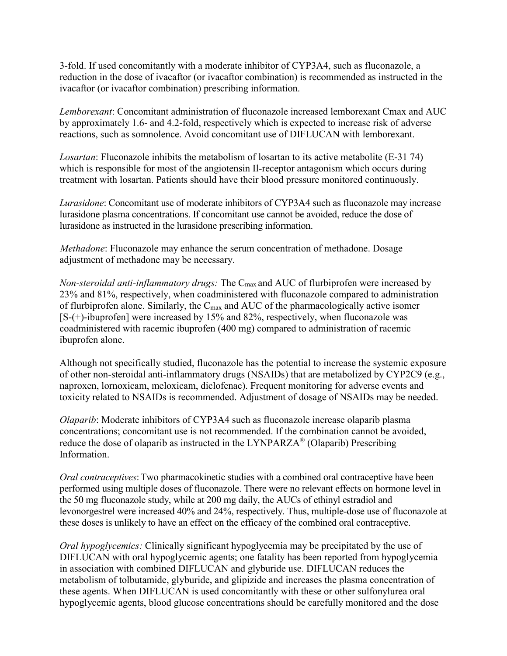3-fold. If used concomitantly with a moderate inhibitor of CYP3A4, such as fluconazole, a reduction in the dose of ivacaftor (or ivacaftor combination) is recommended as instructed in the ivacaftor (or ivacaftor combination) prescribing information.

*Lemborexant*: Concomitant administration of fluconazole increased lemborexant Cmax and AUC by approximately 1.6- and 4.2-fold, respectively which is expected to increase risk of adverse reactions, such as somnolence. Avoid concomitant use of DIFLUCAN with lemborexant.

*Losartan*: Fluconazole inhibits the metabolism of losartan to its active metabolite (E-31 74) which is responsible for most of the angiotensin Il-receptor antagonism which occurs during treatment with losartan. Patients should have their blood pressure monitored continuously.

*Lurasidone*: Concomitant use of moderate inhibitors of CYP3A4 such as fluconazole may increase lurasidone plasma concentrations. If concomitant use cannot be avoided, reduce the dose of lurasidone as instructed in the lurasidone prescribing information.

*Methadone*: Fluconazole may enhance the serum concentration of methadone. Dosage adjustment of methadone may be necessary.

*Non-steroidal anti-inflammatory drugs:* The C<sub>max</sub> and AUC of flurbiprofen were increased by 23% and 81%, respectively, when coadministered with fluconazole compared to administration of flurbiprofen alone. Similarly, the Cmax and AUC of the pharmacologically active isomer [S-(+)-ibuprofen] were increased by 15% and 82%, respectively, when fluconazole was coadministered with racemic ibuprofen (400 mg) compared to administration of racemic ibuprofen alone.

Although not specifically studied, fluconazole has the potential to increase the systemic exposure of other non-steroidal anti-inflammatory drugs (NSAIDs) that are metabolized by CYP2C9 (e.g., naproxen, lornoxicam, meloxicam, diclofenac). Frequent monitoring for adverse events and toxicity related to NSAIDs is recommended. Adjustment of dosage of NSAIDs may be needed.

*Olaparib*: Moderate inhibitors of CYP3A4 such as fluconazole increase olaparib plasma concentrations; concomitant use is not recommended. If the combination cannot be avoided, reduce the dose of olaparib as instructed in the LYNPARZA® (Olaparib) Prescribing Information.

*Oral contraceptives*: Two pharmacokinetic studies with a combined oral contraceptive have been performed using multiple doses of fluconazole. There were no relevant effects on hormone level in the 50 mg fluconazole study, while at 200 mg daily, the AUCs of ethinyl estradiol and levonorgestrel were increased 40% and 24%, respectively. Thus, multiple-dose use of fluconazole at these doses is unlikely to have an effect on the efficacy of the combined oral contraceptive.

*Oral hypoglycemics:* Clinically significant hypoglycemia may be precipitated by the use of DIFLUCAN with oral hypoglycemic agents; one fatality has been reported from hypoglycemia in association with combined DIFLUCAN and glyburide use. DIFLUCAN reduces the metabolism of tolbutamide, glyburide, and glipizide and increases the plasma concentration of these agents. When DIFLUCAN is used concomitantly with these or other sulfonylurea oral hypoglycemic agents, blood glucose concentrations should be carefully monitored and the dose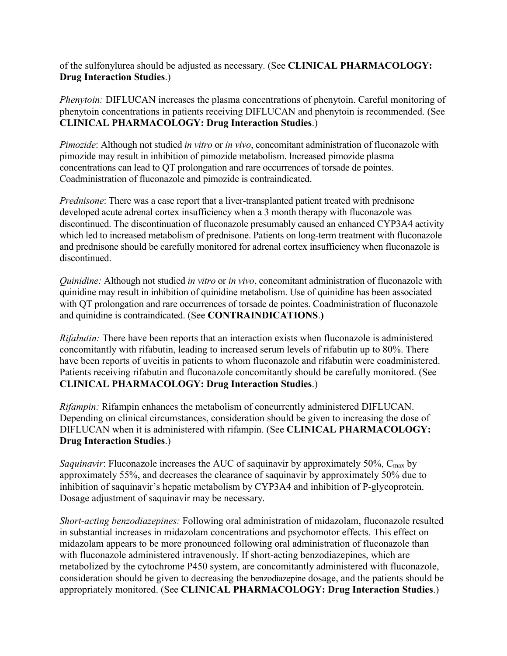of the sulfonylurea should be adjusted as necessary. (See **CLINICAL PHARMACOLOGY: Drug Interaction Studies**.)

*Phenytoin:* DIFLUCAN increases the plasma concentrations of phenytoin. Careful monitoring of phenytoin concentrations in patients receiving DIFLUCAN and phenytoin is recommended. (See **CLINICAL PHARMACOLOGY: Drug Interaction Studies**.)

*Pimozide*: Although not studied *in vitro* or *in vivo*, concomitant administration of fluconazole with pimozide may result in inhibition of pimozide metabolism. Increased pimozide plasma concentrations can lead to QT prolongation and rare occurrences of torsade de pointes. Coadministration of fluconazole and pimozide is contraindicated.

*Prednisone*: There was a case report that a liver-transplanted patient treated with prednisone developed acute adrenal cortex insufficiency when a 3 month therapy with fluconazole was discontinued. The discontinuation of fluconazole presumably caused an enhanced CYP3A4 activity which led to increased metabolism of prednisone. Patients on long-term treatment with fluconazole and prednisone should be carefully monitored for adrenal cortex insufficiency when fluconazole is discontinued.

*Quinidine:* Although not studied *in vitro* or *in vivo*, concomitant administration of fluconazole with quinidine may result in inhibition of quinidine metabolism. Use of quinidine has been associated with QT prolongation and rare occurrences of torsade de pointes. Coadministration of fluconazole and quinidine is contraindicated. (See **CONTRAINDICATIONS**.**)**

*Rifabutin:* There have been reports that an interaction exists when fluconazole is administered concomitantly with rifabutin, leading to increased serum levels of rifabutin up to 80%. There have been reports of uveitis in patients to whom fluconazole and rifabutin were coadministered. Patients receiving rifabutin and fluconazole concomitantly should be carefully monitored. (See **CLINICAL PHARMACOLOGY: Drug Interaction Studies**.)

*Rifampin:* Rifampin enhances the metabolism of concurrently administered DIFLUCAN. Depending on clinical circumstances, consideration should be given to increasing the dose of DIFLUCAN when it is administered with rifampin. (See **CLINICAL PHARMACOLOGY: Drug Interaction Studies**.)

*Saquinavir*: Fluconazole increases the AUC of saquinavir by approximately 50%, C<sub>max</sub> by approximately 55%, and decreases the clearance of saquinavir by approximately 50% due to inhibition of saquinavir's hepatic metabolism by CYP3A4 and inhibition of P-glycoprotein. Dosage adjustment of saquinavir may be necessary.

*Short-acting benzodiazepines:* Following oral administration of midazolam, fluconazole resulted in substantial increases in midazolam concentrations and psychomotor effects. This effect on midazolam appears to be more pronounced following oral administration of fluconazole than with fluconazole administered intravenously. If short-acting benzodiazepines, which are metabolized by the cytochrome P450 system, are concomitantly administered with fluconazole, consideration should be given to decreasing the benzodiazepine dosage, and the patients should be appropriately monitored. (See **CLINICAL PHARMACOLOGY: Drug Interaction Studies**.)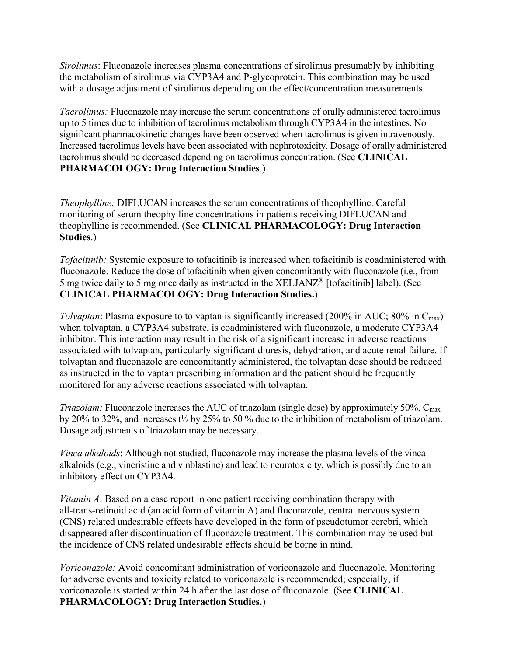*Sirolimus*: Fluconazole increases plasma concentrations of sirolimus presumably by inhibiting the metabolism of sirolimus via CYP3A4 and P-glycoprotein. This combination may be used with a dosage adjustment of sirolimus depending on the effect/concentration measurements.

*Tacrolimus:* Fluconazole may increase the serum concentrations of orally administered tacrolimus up to 5 times due to inhibition of tacrolimus metabolism through CYP3A4 in the intestines. No significant pharmacokinetic changes have been observed when tacrolimus is given intravenously. Increased tacrolimus levels have been associated with nephrotoxicity. Dosage of orally administered tacrolimus should be decreased depending on tacrolimus concentration. (See **CLINICAL PHARMACOLOGY: Drug Interaction Studies**.)

*Theophylline:* DIFLUCAN increases the serum concentrations of theophylline. Careful monitoring of serum theophylline concentrations in patients receiving DIFLUCAN and theophylline is recommended. (See **CLINICAL PHARMACOLOGY: Drug Interaction Studies**.)

*Tofacitinib:* Systemic exposure to tofacitinib is increased when tofacitinib is coadministered with fluconazole. Reduce the dose of tofacitinib when given concomitantly with fluconazole (i.e., from 5 mg twice daily to 5 mg once daily as instructed in the XELJANZ® [tofacitinib] label). (See **CLINICAL PHARMACOLOGY: Drug Interaction Studies.**)

*Tolvaptan*: Plasma exposure to tolvaptan is significantly increased (200% in AUC; 80% in C<sub>max</sub>) when tolvaptan, a CYP3A4 substrate, is coadministered with fluconazole, a moderate CYP3A4 inhibitor. This interaction may result in the risk of a significant increase in adverse reactions associated with tolvaptan, particularly significant diuresis, dehydration, and acute renal failure. If tolvaptan and fluconazole are concomitantly administered, the tolvaptan dose should be reduced as instructed in the tolvaptan prescribing information and the patient should be frequently monitored for any adverse reactions associated with tolvaptan.

*Triazolam:* Fluconazole increases the AUC of triazolam (single dose) by approximately 50%, C<sub>max</sub> by 20% to 32%, and increases t½ by 25% to 50 % due to the inhibition of metabolism of triazolam. Dosage adjustments of triazolam may be necessary.

*Vinca alkaloids*: Although not studied, fluconazole may increase the plasma levels of the vinca alkaloids (e.g., vincristine and vinblastine) and lead to neurotoxicity, which is possibly due to an inhibitory effect on CYP3A4.

*Vitamin A*: Based on a case report in one patient receiving combination therapy with all-trans-retinoid acid (an acid form of vitamin A) and fluconazole, central nervous system (CNS) related undesirable effects have developed in the form of pseudotumor cerebri, which disappeared after discontinuation of fluconazole treatment. This combination may be used but the incidence of CNS related undesirable effects should be borne in mind.

*Voriconazole:* Avoid concomitant administration of voriconazole and fluconazole. Monitoring for adverse events and toxicity related to voriconazole is recommended; especially, if voriconazole is started within 24 h after the last dose of fluconazole. (See **CLINICAL PHARMACOLOGY: Drug Interaction Studies.**)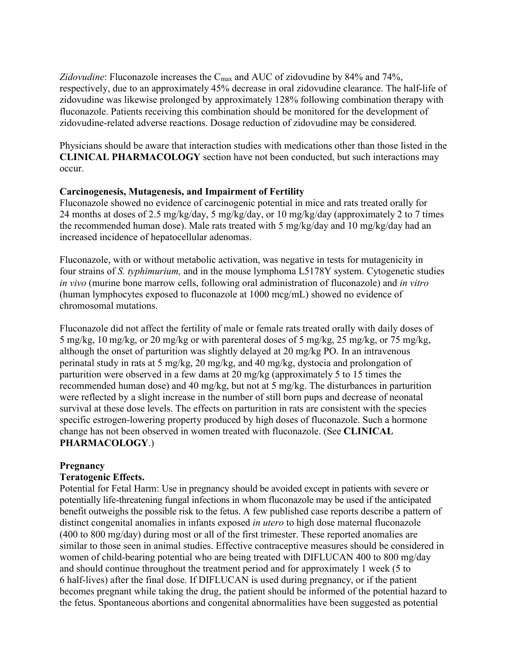Zidovudine: Fluconazole increases the C<sub>max</sub> and AUC of zidovudine by 84% and 74%, respectively, due to an approximately 45% decrease in oral zidovudine clearance. The half-life of zidovudine was likewise prolonged by approximately 128% following combination therapy with fluconazole. Patients receiving this combination should be monitored for the development of zidovudine-related adverse reactions. Dosage reduction of zidovudine may be considered.

Physicians should be aware that interaction studies with medications other than those listed in the **CLINICAL PHARMACOLOGY** section have not been conducted, but such interactions may occur.

# **Carcinogenesis, Mutagenesis, and Impairment of Fertility**

Fluconazole showed no evidence of carcinogenic potential in mice and rats treated orally for 24 months at doses of 2.5 mg/kg/day, 5 mg/kg/day, or 10 mg/kg/day (approximately 2 to 7 times the recommended human dose). Male rats treated with 5 mg/kg/day and 10 mg/kg/day had an increased incidence of hepatocellular adenomas.

Fluconazole, with or without metabolic activation, was negative in tests for mutagenicity in four strains of *S. typhimurium,* and in the mouse lymphoma L5178Y system. Cytogenetic studies *in vivo* (murine bone marrow cells, following oral administration of fluconazole) and *in vitro* (human lymphocytes exposed to fluconazole at 1000 mcg/mL) showed no evidence of chromosomal mutations.

Fluconazole did not affect the fertility of male or female rats treated orally with daily doses of 5 mg/kg, 10 mg/kg, or 20 mg/kg or with parenteral doses of 5 mg/kg, 25 mg/kg, or 75 mg/kg, although the onset of parturition was slightly delayed at 20 mg/kg PO. In an intravenous perinatal study in rats at 5 mg/kg, 20 mg/kg, and 40 mg/kg, dystocia and prolongation of parturition were observed in a few dams at 20 mg/kg (approximately 5 to 15 times the recommended human dose) and 40 mg/kg, but not at 5 mg/kg. The disturbances in parturition were reflected by a slight increase in the number of still born pups and decrease of neonatal survival at these dose levels. The effects on parturition in rats are consistent with the species specific estrogen-lowering property produced by high doses of fluconazole. Such a hormone change has not been observed in women treated with fluconazole. (See **CLINICAL PHARMACOLOGY**.)

## **Pregnancy**

## **Teratogenic Effects.**

Potential for Fetal Harm: Use in pregnancy should be avoided except in patients with severe or potentially life-threatening fungal infections in whom fluconazole may be used if the anticipated benefit outweighs the possible risk to the fetus. A few published case reports describe a pattern of distinct congenital anomalies in infants exposed *in utero* to high dose maternal fluconazole (400 to 800 mg/day) during most or all of the first trimester. These reported anomalies are similar to those seen in animal studies. Effective contraceptive measures should be considered in women of child-bearing potential who are being treated with DIFLUCAN 400 to 800 mg/day and should continue throughout the treatment period and for approximately 1 week (5 to 6 half-lives) after the final dose. If DIFLUCAN is used during pregnancy, or if the patient becomes pregnant while taking the drug, the patient should be informed of the potential hazard to the fetus. Spontaneous abortions and congenital abnormalities have been suggested as potential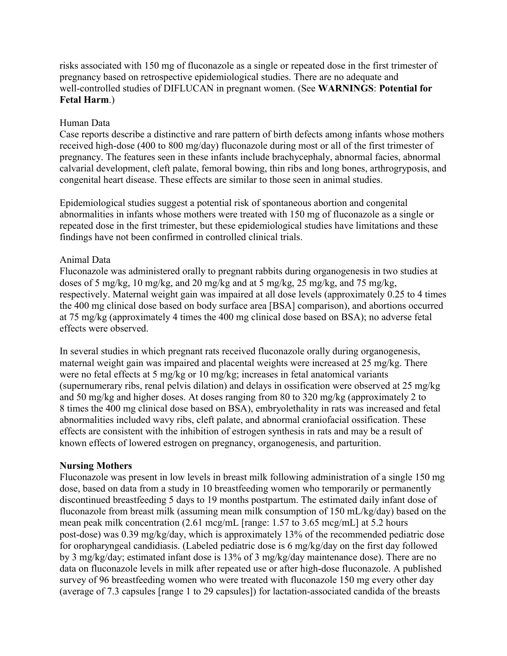risks associated with 150 mg of fluconazole as a single or repeated dose in the first trimester of pregnancy based on retrospective epidemiological studies. There are no adequate and well-controlled studies of DIFLUCAN in pregnant women. (See **WARNINGS**: **Potential for Fetal Harm**.)

# Human Data

Case reports describe a distinctive and rare pattern of birth defects among infants whose mothers received high-dose (400 to 800 mg/day) fluconazole during most or all of the first trimester of pregnancy. The features seen in these infants include brachycephaly, abnormal facies, abnormal calvarial development, cleft palate, femoral bowing, thin ribs and long bones, arthrogryposis, and congenital heart disease. These effects are similar to those seen in animal studies.

Epidemiological studies suggest a potential risk of spontaneous abortion and congenital abnormalities in infants whose mothers were treated with 150 mg of fluconazole as a single or repeated dose in the first trimester, but these epidemiological studies have limitations and these findings have not been confirmed in controlled clinical trials.

# Animal Data

Fluconazole was administered orally to pregnant rabbits during organogenesis in two studies at doses of 5 mg/kg, 10 mg/kg, and 20 mg/kg and at 5 mg/kg, 25 mg/kg, and 75 mg/kg, respectively. Maternal weight gain was impaired at all dose levels (approximately 0.25 to 4 times the 400 mg clinical dose based on body surface area [BSA] comparison), and abortions occurred at 75 mg/kg (approximately 4 times the 400 mg clinical dose based on BSA); no adverse fetal effects were observed.

In several studies in which pregnant rats received fluconazole orally during organogenesis, maternal weight gain was impaired and placental weights were increased at 25 mg/kg. There were no fetal effects at 5 mg/kg or 10 mg/kg; increases in fetal anatomical variants (supernumerary ribs, renal pelvis dilation) and delays in ossification were observed at 25 mg/kg and 50 mg/kg and higher doses. At doses ranging from 80 to 320 mg/kg (approximately 2 to 8 times the 400 mg clinical dose based on BSA), embryolethality in rats was increased and fetal abnormalities included wavy ribs, cleft palate, and abnormal craniofacial ossification. These effects are consistent with the inhibition of estrogen synthesis in rats and may be a result of known effects of lowered estrogen on pregnancy, organogenesis, and parturition.

## **Nursing Mothers**

Fluconazole was present in low levels in breast milk following administration of a single 150 mg dose, based on data from a study in 10 breastfeeding women who temporarily or permanently discontinued breastfeeding 5 days to 19 months postpartum. The estimated daily infant dose of fluconazole from breast milk (assuming mean milk consumption of 150 mL/kg/day) based on the mean peak milk concentration (2.61 mcg/mL [range: 1.57 to 3.65 mcg/mL] at 5.2 hours post-dose) was 0.39 mg/kg/day, which is approximately 13% of the recommended pediatric dose for oropharyngeal candidiasis. (Labeled pediatric dose is 6 mg/kg/day on the first day followed by 3 mg/kg/day; estimated infant dose is 13% of 3 mg/kg/day maintenance dose). There are no data on fluconazole levels in milk after repeated use or after high-dose fluconazole. A published survey of 96 breastfeeding women who were treated with fluconazole 150 mg every other day (average of 7.3 capsules [range 1 to 29 capsules]) for lactation-associated candida of the breasts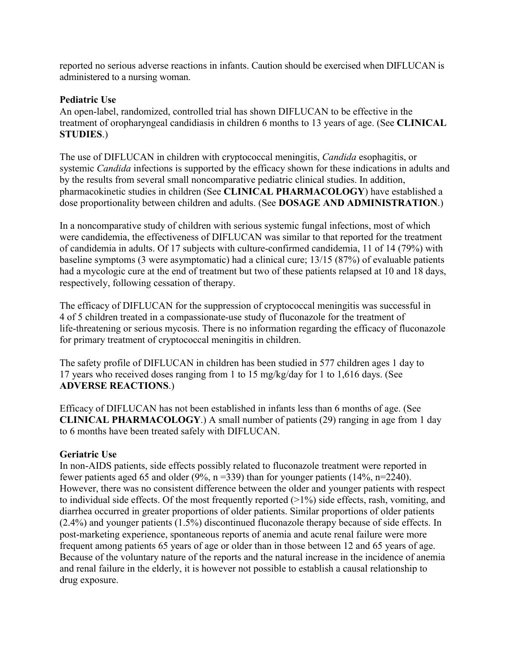reported no serious adverse reactions in infants. Caution should be exercised when DIFLUCAN is administered to a nursing woman.

# **Pediatric Use**

An open-label, randomized, controlled trial has shown DIFLUCAN to be effective in the treatment of oropharyngeal candidiasis in children 6 months to 13 years of age. (See **CLINICAL STUDIES**.)

The use of DIFLUCAN in children with cryptococcal meningitis, *Candida* esophagitis, or systemic *Candida* infections is supported by the efficacy shown for these indications in adults and by the results from several small noncomparative pediatric clinical studies. In addition, pharmacokinetic studies in children (See **CLINICAL PHARMACOLOGY**) have established a dose proportionality between children and adults. (See **DOSAGE AND ADMINISTRATION**.)

In a noncomparative study of children with serious systemic fungal infections, most of which were candidemia, the effectiveness of DIFLUCAN was similar to that reported for the treatment of candidemia in adults. Of 17 subjects with culture-confirmed candidemia, 11 of 14 (79%) with baseline symptoms (3 were asymptomatic) had a clinical cure; 13/15 (87%) of evaluable patients had a mycologic cure at the end of treatment but two of these patients relapsed at 10 and 18 days, respectively, following cessation of therapy.

The efficacy of DIFLUCAN for the suppression of cryptococcal meningitis was successful in 4 of 5 children treated in a compassionate-use study of fluconazole for the treatment of life-threatening or serious mycosis. There is no information regarding the efficacy of fluconazole for primary treatment of cryptococcal meningitis in children.

The safety profile of DIFLUCAN in children has been studied in 577 children ages 1 day to 17 years who received doses ranging from 1 to 15 mg/kg/day for 1 to 1,616 days. (See **ADVERSE REACTIONS**.)

Efficacy of DIFLUCAN has not been established in infants less than 6 months of age. (See **CLINICAL PHARMACOLOGY**.) A small number of patients (29) ranging in age from 1 day to 6 months have been treated safely with DIFLUCAN.

# **Geriatric Use**

In non-AIDS patients, side effects possibly related to fluconazole treatment were reported in fewer patients aged 65 and older (9%,  $n = 339$ ) than for younger patients (14%,  $n = 2240$ ). However, there was no consistent difference between the older and younger patients with respect to individual side effects. Of the most frequently reported  $(>1%)$  side effects, rash, vomiting, and diarrhea occurred in greater proportions of older patients. Similar proportions of older patients (2.4%) and younger patients (1.5%) discontinued fluconazole therapy because of side effects. In post-marketing experience, spontaneous reports of anemia and acute renal failure were more frequent among patients 65 years of age or older than in those between 12 and 65 years of age. Because of the voluntary nature of the reports and the natural increase in the incidence of anemia and renal failure in the elderly, it is however not possible to establish a causal relationship to drug exposure.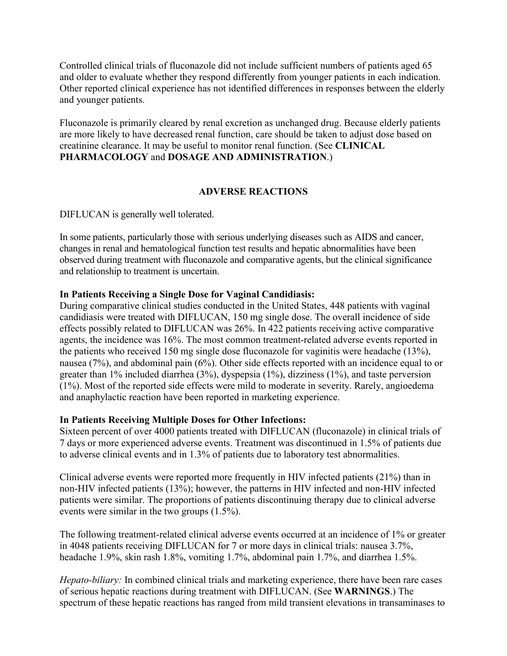Controlled clinical trials of fluconazole did not include sufficient numbers of patients aged 65 and older to evaluate whether they respond differently from younger patients in each indication. Other reported clinical experience has not identified differences in responses between the elderly and younger patients.

Fluconazole is primarily cleared by renal excretion as unchanged drug. Because elderly patients are more likely to have decreased renal function, care should be taken to adjust dose based on creatinine clearance. It may be useful to monitor renal function. (See **CLINICAL PHARMACOLOGY** and **DOSAGE AND ADMINISTRATION**.)

# **ADVERSE REACTIONS**

DIFLUCAN is generally well tolerated.

In some patients, particularly those with serious underlying diseases such as AIDS and cancer, changes in renal and hematological function test results and hepatic abnormalities have been observed during treatment with fluconazole and comparative agents, but the clinical significance and relationship to treatment is uncertain.

# **In Patients Receiving a Single Dose for Vaginal Candidiasis:**

During comparative clinical studies conducted in the United States, 448 patients with vaginal candidiasis were treated with DIFLUCAN, 150 mg single dose. The overall incidence of side effects possibly related to DIFLUCAN was 26%. In 422 patients receiving active comparative agents, the incidence was 16%. The most common treatment-related adverse events reported in the patients who received 150 mg single dose fluconazole for vaginitis were headache (13%), nausea (7%), and abdominal pain (6%). Other side effects reported with an incidence equal to or greater than 1% included diarrhea (3%), dyspepsia (1%), dizziness (1%), and taste perversion (1%). Most of the reported side effects were mild to moderate in severity. Rarely, angioedema and anaphylactic reaction have been reported in marketing experience.

## **In Patients Receiving Multiple Doses for Other Infections:**

Sixteen percent of over 4000 patients treated with DIFLUCAN (fluconazole) in clinical trials of 7 days or more experienced adverse events. Treatment was discontinued in 1.5% of patients due to adverse clinical events and in 1.3% of patients due to laboratory test abnormalities.

Clinical adverse events were reported more frequently in HIV infected patients (21%) than in non-HIV infected patients (13%); however, the patterns in HIV infected and non-HIV infected patients were similar. The proportions of patients discontinuing therapy due to clinical adverse events were similar in the two groups (1.5%).

The following treatment-related clinical adverse events occurred at an incidence of 1% or greater in 4048 patients receiving DIFLUCAN for 7 or more days in clinical trials: nausea 3.7%, headache 1.9%, skin rash 1.8%, vomiting 1.7%, abdominal pain 1.7%, and diarrhea 1.5%.

*Hepato-biliary:* In combined clinical trials and marketing experience, there have been rare cases of serious hepatic reactions during treatment with DIFLUCAN. (See **WARNINGS**.) The spectrum of these hepatic reactions has ranged from mild transient elevations in transaminases to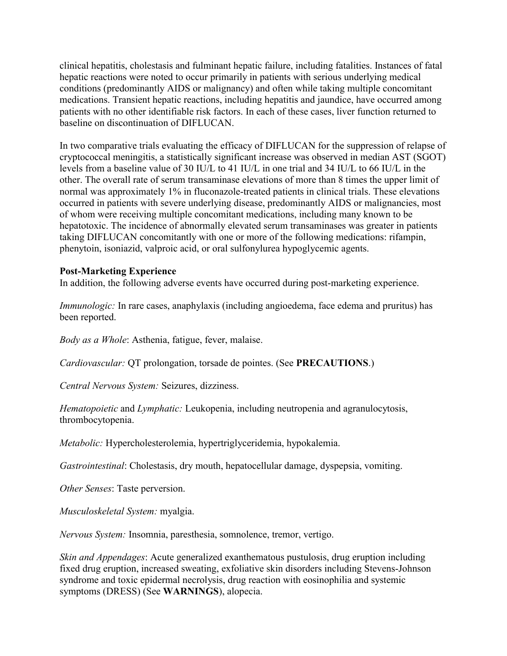clinical hepatitis, cholestasis and fulminant hepatic failure, including fatalities. Instances of fatal hepatic reactions were noted to occur primarily in patients with serious underlying medical conditions (predominantly AIDS or malignancy) and often while taking multiple concomitant medications. Transient hepatic reactions, including hepatitis and jaundice, have occurred among patients with no other identifiable risk factors. In each of these cases, liver function returned to baseline on discontinuation of DIFLUCAN.

In two comparative trials evaluating the efficacy of DIFLUCAN for the suppression of relapse of cryptococcal meningitis, a statistically significant increase was observed in median AST (SGOT) levels from a baseline value of 30 IU/L to 41 IU/L in one trial and 34 IU/L to 66 IU/L in the other. The overall rate of serum transaminase elevations of more than 8 times the upper limit of normal was approximately 1% in fluconazole-treated patients in clinical trials. These elevations occurred in patients with severe underlying disease, predominantly AIDS or malignancies, most of whom were receiving multiple concomitant medications, including many known to be hepatotoxic. The incidence of abnormally elevated serum transaminases was greater in patients taking DIFLUCAN concomitantly with one or more of the following medications: rifampin, phenytoin, isoniazid, valproic acid, or oral sulfonylurea hypoglycemic agents.

## **Post-Marketing Experience**

In addition, the following adverse events have occurred during post-marketing experience.

*Immunologic:* In rare cases, anaphylaxis (including angioedema, face edema and pruritus) has been reported.

*Body as a Whole*: Asthenia, fatigue, fever, malaise.

*Cardiovascular:* QT prolongation, torsade de pointes. (See **PRECAUTIONS**.)

*Central Nervous System:* Seizures, dizziness.

*Hematopoietic* and *Lymphatic:* Leukopenia, including neutropenia and agranulocytosis, thrombocytopenia.

*Metabolic:* Hypercholesterolemia, hypertriglyceridemia, hypokalemia.

*Gastrointestinal*: Cholestasis, dry mouth, hepatocellular damage, dyspepsia, vomiting.

*Other Senses*: Taste perversion.

*Musculoskeletal System:* myalgia.

*Nervous System:* Insomnia, paresthesia, somnolence, tremor, vertigo.

*Skin and Appendages*: Acute generalized exanthematous pustulosis, drug eruption including fixed drug eruption, increased sweating, exfoliative skin disorders including Stevens-Johnson syndrome and toxic epidermal necrolysis, drug reaction with eosinophilia and systemic symptoms (DRESS) (See **WARNINGS**), alopecia.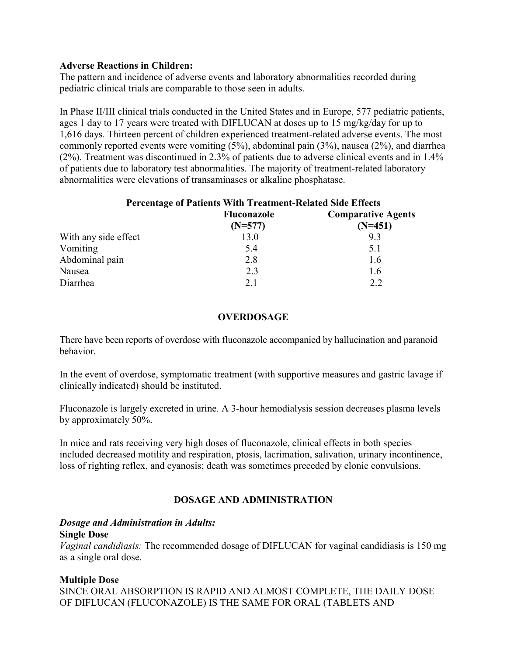## **Adverse Reactions in Children:**

The pattern and incidence of adverse events and laboratory abnormalities recorded during pediatric clinical trials are comparable to those seen in adults.

In Phase II/III clinical trials conducted in the United States and in Europe, 577 pediatric patients, ages 1 day to 17 years were treated with DIFLUCAN at doses up to 15 mg/kg/day for up to 1,616 days. Thirteen percent of children experienced treatment-related adverse events. The most commonly reported events were vomiting (5%), abdominal pain (3%), nausea (2%), and diarrhea (2%). Treatment was discontinued in 2.3% of patients due to adverse clinical events and in 1.4% of patients due to laboratory test abnormalities. The majority of treatment-related laboratory abnormalities were elevations of transaminases or alkaline phosphatase.

| <b>Percentage of Patients With Treatment-Related Side Effects</b> |                    |                           |
|-------------------------------------------------------------------|--------------------|---------------------------|
|                                                                   | <b>Fluconazole</b> | <b>Comparative Agents</b> |
|                                                                   | $(N=577)$          | $(N=451)$                 |
| With any side effect                                              | 13.0               | 9.3                       |
| Vomiting                                                          | 5.4                | 5.1                       |
| Abdominal pain                                                    | 2.8                | 1.6                       |
| Nausea                                                            | 2.3                | 1.6                       |
| Diarrhea                                                          | 2.1                | 2.2                       |
|                                                                   |                    |                           |

# **OVERDOSAGE**

There have been reports of overdose with fluconazole accompanied by hallucination and paranoid behavior.

In the event of overdose, symptomatic treatment (with supportive measures and gastric lavage if clinically indicated) should be instituted.

Fluconazole is largely excreted in urine. A 3-hour hemodialysis session decreases plasma levels by approximately 50%.

In mice and rats receiving very high doses of fluconazole, clinical effects in both species included decreased motility and respiration, ptosis, lacrimation, salivation, urinary incontinence, loss of righting reflex, and cyanosis; death was sometimes preceded by clonic convulsions.

# **DOSAGE AND ADMINISTRATION**

#### *Dosage and Administration in Adults:* **Single Dose**

*Vaginal candidiasis:* The recommended dosage of DIFLUCAN for vaginal candidiasis is 150 mg as a single oral dose.

# **Multiple Dose**

SINCE ORAL ABSORPTION IS RAPID AND ALMOST COMPLETE, THE DAILY DOSE OF DIFLUCAN (FLUCONAZOLE) IS THE SAME FOR ORAL (TABLETS AND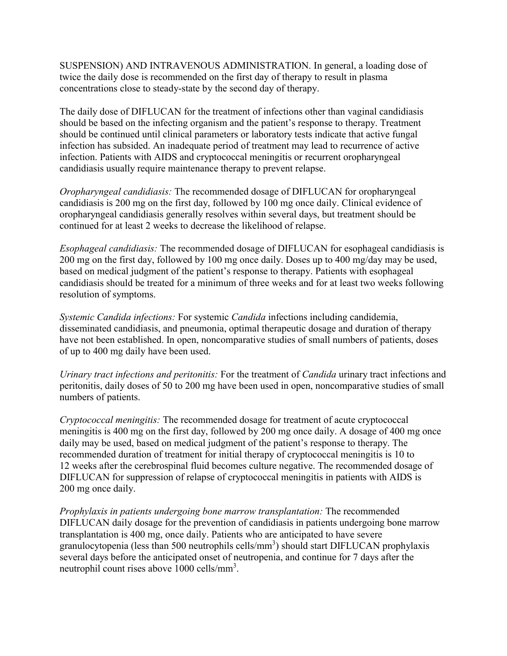SUSPENSION) AND INTRAVENOUS ADMINISTRATION. In general, a loading dose of twice the daily dose is recommended on the first day of therapy to result in plasma concentrations close to steady-state by the second day of therapy.

The daily dose of DIFLUCAN for the treatment of infections other than vaginal candidiasis should be based on the infecting organism and the patient's response to therapy. Treatment should be continued until clinical parameters or laboratory tests indicate that active fungal infection has subsided. An inadequate period of treatment may lead to recurrence of active infection. Patients with AIDS and cryptococcal meningitis or recurrent oropharyngeal candidiasis usually require maintenance therapy to prevent relapse.

*Oropharyngeal candidiasis:* The recommended dosage of DIFLUCAN for oropharyngeal candidiasis is 200 mg on the first day, followed by 100 mg once daily. Clinical evidence of oropharyngeal candidiasis generally resolves within several days, but treatment should be continued for at least 2 weeks to decrease the likelihood of relapse.

*Esophageal candidiasis:* The recommended dosage of DIFLUCAN for esophageal candidiasis is 200 mg on the first day, followed by 100 mg once daily. Doses up to 400 mg/day may be used, based on medical judgment of the patient's response to therapy. Patients with esophageal candidiasis should be treated for a minimum of three weeks and for at least two weeks following resolution of symptoms.

*Systemic Candida infections:* For systemic *Candida* infections including candidemia, disseminated candidiasis, and pneumonia, optimal therapeutic dosage and duration of therapy have not been established. In open, noncomparative studies of small numbers of patients, doses of up to 400 mg daily have been used.

*Urinary tract infections and peritonitis:* For the treatment of *Candida* urinary tract infections and peritonitis, daily doses of 50 to 200 mg have been used in open, noncomparative studies of small numbers of patients.

*Cryptococcal meningitis:* The recommended dosage for treatment of acute cryptococcal meningitis is 400 mg on the first day, followed by 200 mg once daily. A dosage of 400 mg once daily may be used, based on medical judgment of the patient's response to therapy. The recommended duration of treatment for initial therapy of cryptococcal meningitis is 10 to 12 weeks after the cerebrospinal fluid becomes culture negative. The recommended dosage of DIFLUCAN for suppression of relapse of cryptococcal meningitis in patients with AIDS is 200 mg once daily.

*Prophylaxis in patients undergoing bone marrow transplantation:* The recommended DIFLUCAN daily dosage for the prevention of candidiasis in patients undergoing bone marrow transplantation is 400 mg, once daily. Patients who are anticipated to have severe granulocytopenia (less than 500 neutrophils cells/mm<sup>3</sup>) should start DIFLUCAN prophylaxis several days before the anticipated onset of neutropenia, and continue for 7 days after the neutrophil count rises above 1000 cells/mm<sup>3</sup>.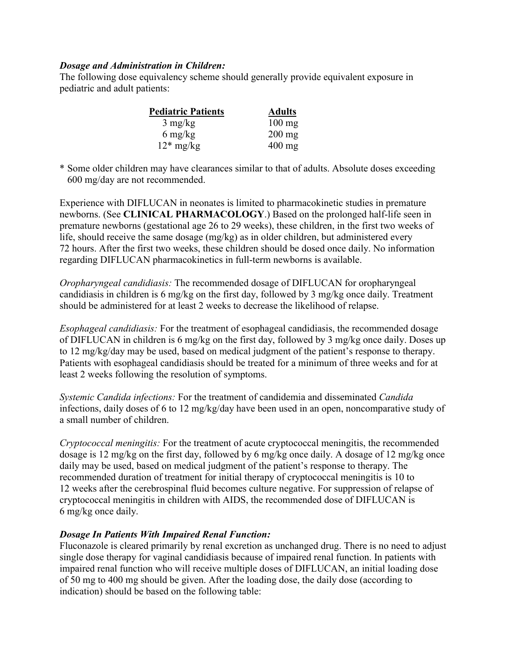## *Dosage and Administration in Children:*

The following dose equivalency scheme should generally provide equivalent exposure in pediatric and adult patients:

| <b>Pediatric Patients</b> | <b>Adults</b>    |
|---------------------------|------------------|
| $3 \text{ mg/kg}$         | $100 \text{ mg}$ |
| $6 \text{ mg/kg}$         | $200 \text{ mg}$ |
| $12*$ mg/kg               | $400 \text{ mg}$ |

\* Some older children may have clearances similar to that of adults. Absolute doses exceeding 600 mg/day are not recommended.

Experience with DIFLUCAN in neonates is limited to pharmacokinetic studies in premature newborns. (See **CLINICAL PHARMACOLOGY**.) Based on the prolonged half-life seen in premature newborns (gestational age 26 to 29 weeks), these children, in the first two weeks of life, should receive the same dosage (mg/kg) as in older children, but administered every 72 hours. After the first two weeks, these children should be dosed once daily. No information regarding DIFLUCAN pharmacokinetics in full-term newborns is available.

*Oropharyngeal candidiasis:* The recommended dosage of DIFLUCAN for oropharyngeal candidiasis in children is 6 mg/kg on the first day, followed by 3 mg/kg once daily. Treatment should be administered for at least 2 weeks to decrease the likelihood of relapse.

*Esophageal candidiasis:* For the treatment of esophageal candidiasis, the recommended dosage of DIFLUCAN in children is 6 mg/kg on the first day, followed by 3 mg/kg once daily. Doses up to 12 mg/kg/day may be used, based on medical judgment of the patient's response to therapy. Patients with esophageal candidiasis should be treated for a minimum of three weeks and for at least 2 weeks following the resolution of symptoms.

*Systemic Candida infections:* For the treatment of candidemia and disseminated *Candida* infections, daily doses of 6 to 12 mg/kg/day have been used in an open, noncomparative study of a small number of children.

*Cryptococcal meningitis:* For the treatment of acute cryptococcal meningitis, the recommended dosage is 12 mg/kg on the first day, followed by 6 mg/kg once daily. A dosage of 12 mg/kg once daily may be used, based on medical judgment of the patient's response to therapy. The recommended duration of treatment for initial therapy of cryptococcal meningitis is 10 to 12 weeks after the cerebrospinal fluid becomes culture negative. For suppression of relapse of cryptococcal meningitis in children with AIDS, the recommended dose of DIFLUCAN is 6 mg/kg once daily.

# *Dosage In Patients With Impaired Renal Function:*

Fluconazole is cleared primarily by renal excretion as unchanged drug. There is no need to adjust single dose therapy for vaginal candidiasis because of impaired renal function. In patients with impaired renal function who will receive multiple doses of DIFLUCAN, an initial loading dose of 50 mg to 400 mg should be given. After the loading dose, the daily dose (according to indication) should be based on the following table: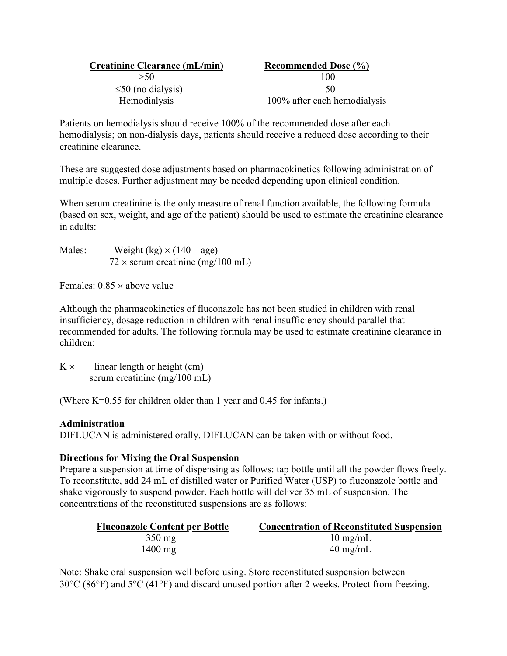| <b>Creatinine Clearance (mL/min)</b> | <b>Recommended Dose (%)</b>  |
|--------------------------------------|------------------------------|
| >50                                  | 100                          |
| $\leq$ 50 (no dialysis)              | 50                           |
| Hemodialysis                         | 100% after each hemodialysis |

Patients on hemodialysis should receive 100% of the recommended dose after each hemodialysis; on non-dialysis days, patients should receive a reduced dose according to their creatinine clearance.

These are suggested dose adjustments based on pharmacokinetics following administration of multiple doses. Further adjustment may be needed depending upon clinical condition.

When serum creatinine is the only measure of renal function available, the following formula (based on sex, weight, and age of the patient) should be used to estimate the creatinine clearance in adults:

Males: Weight  $(kg) \times (140 - age)$  $72 \times$  serum creatinine (mg/100 mL)

Females:  $0.85 \times$  above value

Although the pharmacokinetics of fluconazole has not been studied in children with renal insufficiency, dosage reduction in children with renal insufficiency should parallel that recommended for adults. The following formula may be used to estimate creatinine clearance in children:

 $K \times$  linear length or height (cm) serum creatinine (mg/100 mL)

(Where K=0.55 for children older than 1 year and 0.45 for infants.)

## **Administration**

DIFLUCAN is administered orally. DIFLUCAN can be taken with or without food.

## **Directions for Mixing the Oral Suspension**

Prepare a suspension at time of dispensing as follows: tap bottle until all the powder flows freely. To reconstitute, add 24 mL of distilled water or Purified Water (USP) to fluconazole bottle and shake vigorously to suspend powder. Each bottle will deliver 35 mL of suspension. The concentrations of the reconstituted suspensions are as follows:

| <b>Fluconazole Content per Bottle</b> | <b>Concentration of Reconstituted Suspension</b> |
|---------------------------------------|--------------------------------------------------|
| $350 \text{ mg}$                      | $10 \text{ mg/mL}$                               |
| $1400$ mg                             | $40 \text{ mg/mL}$                               |

Note: Shake oral suspension well before using. Store reconstituted suspension between  $30^{\circ}$ C (86 $^{\circ}$ F) and  $5^{\circ}$ C (41 $^{\circ}$ F) and discard unused portion after 2 weeks. Protect from freezing.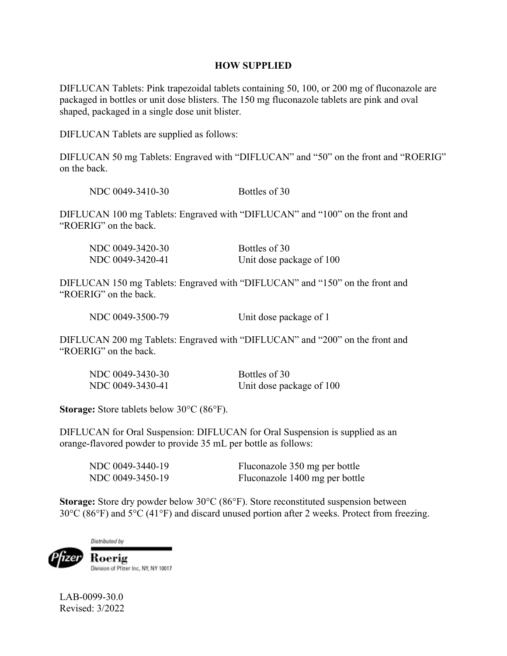#### **HOW SUPPLIED**

DIFLUCAN Tablets: Pink trapezoidal tablets containing 50, 100, or 200 mg of fluconazole are packaged in bottles or unit dose blisters. The 150 mg fluconazole tablets are pink and oval shaped, packaged in a single dose unit blister.

DIFLUCAN Tablets are supplied as follows:

DIFLUCAN 50 mg Tablets: Engraved with "DIFLUCAN" and "50" on the front and "ROERIG" on the back.

NDC 0049-3410-30 Bottles of 30

DIFLUCAN 100 mg Tablets: Engraved with "DIFLUCAN" and "100" on the front and "ROERIG" on the back.

| NDC 0049-3420-30 | Bottles of 30            |
|------------------|--------------------------|
| NDC 0049-3420-41 | Unit dose package of 100 |

DIFLUCAN 150 mg Tablets: Engraved with "DIFLUCAN" and "150" on the front and "ROERIG" on the back.

NDC 0049-3500-79 Unit dose package of 1

DIFLUCAN 200 mg Tablets: Engraved with "DIFLUCAN" and "200" on the front and "ROERIG" on the back.

| NDC 0049-3430-30 | Bottles of 30            |
|------------------|--------------------------|
| NDC 0049-3430-41 | Unit dose package of 100 |

**Storage:** Store tablets below 30°C (86°F).

DIFLUCAN for Oral Suspension: DIFLUCAN for Oral Suspension is supplied as an orange-flavored powder to provide 35 mL per bottle as follows:

| NDC 0049-3440-19 | Fluconazole 350 mg per bottle  |
|------------------|--------------------------------|
| NDC 0049-3450-19 | Fluconazole 1400 mg per bottle |

**Storage:** Store dry powder below 30°C (86°F). Store reconstituted suspension between  $30^{\circ}$ C (86 $^{\circ}$ F) and  $5^{\circ}$ C (41 $^{\circ}$ F) and discard unused portion after 2 weeks. Protect from freezing.

Distributed by

Roerig ızer Division of Pfizer Inc, NY, NY 10017

LAB-0099-30.0 Revised: 3/2022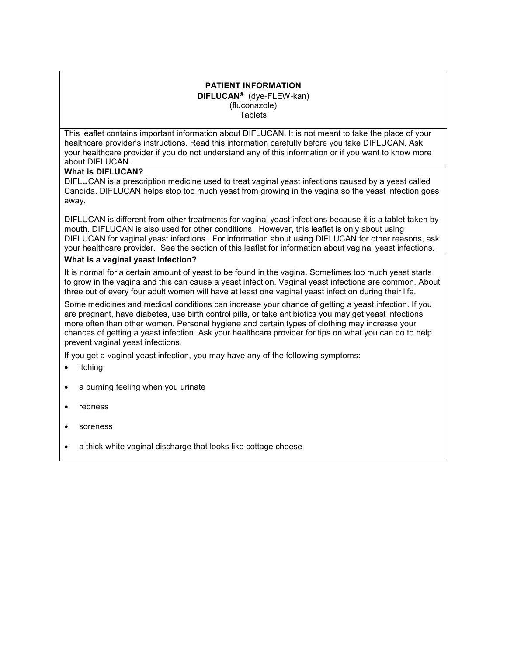#### **PATIENT INFORMATION DIFLUCAN<sup>®</sup>** (dye-FLEW-kan) (fluconazole) **Tablets**

This leaflet contains important information about DIFLUCAN. It is not meant to take the place of your healthcare provider's instructions. Read this information carefully before you take DIFLUCAN. Ask your healthcare provider if you do not understand any of this information or if you want to know more about DIFLUCAN.

#### **What is DIFLUCAN?**

DIFLUCAN is a prescription medicine used to treat vaginal yeast infections caused by a yeast called Candida. DIFLUCAN helps stop too much yeast from growing in the vagina so the yeast infection goes away.

DIFLUCAN is different from other treatments for vaginal yeast infections because it is a tablet taken by mouth. DIFLUCAN is also used for other conditions. However, this leaflet is only about using DIFLUCAN for vaginal yeast infections. For information about using DIFLUCAN for other reasons, ask your healthcare provider. See the section of this leaflet for information about vaginal yeast infections.

#### **What is a vaginal yeast infection?**

It is normal for a certain amount of yeast to be found in the vagina. Sometimes too much yeast starts to grow in the vagina and this can cause a yeast infection. Vaginal yeast infections are common. About three out of every four adult women will have at least one vaginal yeast infection during their life.

Some medicines and medical conditions can increase your chance of getting a yeast infection. If you are pregnant, have diabetes, use birth control pills, or take antibiotics you may get yeast infections more often than other women. Personal hygiene and certain types of clothing may increase your chances of getting a yeast infection. Ask your healthcare provider for tips on what you can do to help prevent vaginal yeast infections.

If you get a vaginal yeast infection, you may have any of the following symptoms:

- itching
- a burning feeling when you urinate
- redness
- soreness
- a thick white vaginal discharge that looks like cottage cheese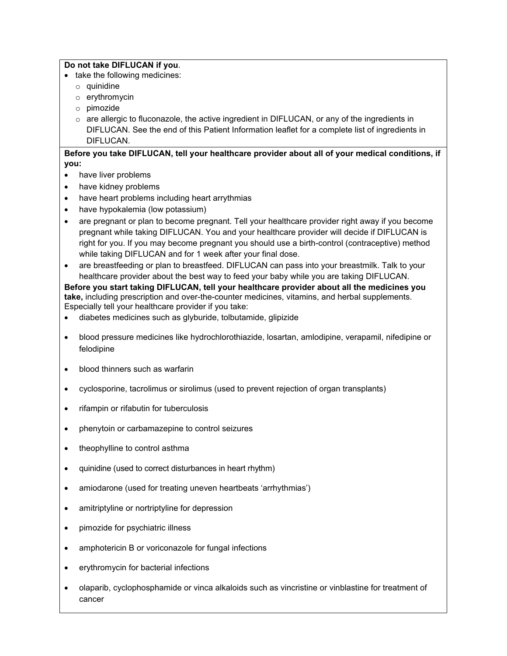#### **Do not take DIFLUCAN if you**.

- take the following medicines:
	- o quinidine
	- o erythromycin
	- o pimozide
	- $\circ$  are allergic to fluconazole, the active ingredient in DIFLUCAN, or any of the ingredients in DIFLUCAN. See the end of this Patient Information leaflet for a complete list of ingredients in DIFLUCAN.

#### **Before you take DIFLUCAN, tell your healthcare provider about all of your medical conditions, if you:**

- have liver problems
- have kidney problems
- have heart problems including heart arrythmias
- have hypokalemia (low potassium)
- are pregnant or plan to become pregnant. Tell your healthcare provider right away if you become pregnant while taking DIFLUCAN. You and your healthcare provider will decide if DIFLUCAN is right for you. If you may become pregnant you should use a birth-control (contraceptive) method while taking DIFLUCAN and for 1 week after your final dose.
- are breastfeeding or plan to breastfeed. DIFLUCAN can pass into your breastmilk. Talk to your healthcare provider about the best way to feed your baby while you are taking DIFLUCAN.

**Before you start taking DIFLUCAN, tell your healthcare provider about all the medicines you take,** including prescription and over-the-counter medicines, vitamins, and herbal supplements. Especially tell your healthcare provider if you take:

- diabetes medicines such as glyburide, tolbutamide, glipizide
- blood pressure medicines like hydrochlorothiazide, losartan, amlodipine, verapamil, nifedipine or felodipine
- blood thinners such as warfarin
- cyclosporine, tacrolimus or sirolimus (used to prevent rejection of organ transplants)
- rifampin or rifabutin for tuberculosis
- phenytoin or carbamazepine to control seizures
- theophylline to control asthma
- quinidine (used to correct disturbances in heart rhythm)
- amiodarone (used for treating uneven heartbeats 'arrhythmias')
- amitriptyline or nortriptyline for depression
- pimozide for psychiatric illness
- amphotericin B or voriconazole for fungal infections
- erythromycin for bacterial infections
- olaparib, cyclophosphamide or vinca alkaloids such as vincristine or vinblastine for treatment of cancer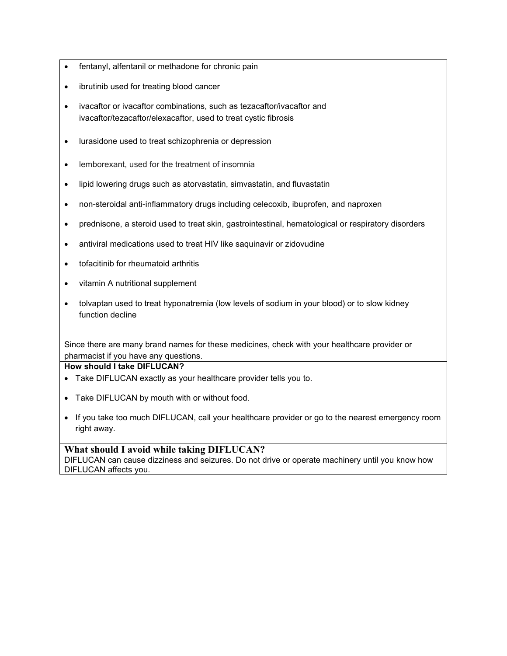- fentanyl, alfentanil or methadone for chronic pain
- ibrutinib used for treating blood cancer
- ivacaftor or ivacaftor combinations, such as tezacaftor/ivacaftor and ivacaftor/tezacaftor/elexacaftor, used to treat cystic fibrosis
- lurasidone used to treat schizophrenia or depression
- lemborexant, used for the treatment of insomnia
- lipid lowering drugs such as atorvastatin, simvastatin, and fluvastatin
- non-steroidal anti-inflammatory drugs including celecoxib, ibuprofen, and naproxen
- prednisone, a steroid used to treat skin, gastrointestinal, hematological or respiratory disorders
- antiviral medications used to treat HIV like saquinavir or zidovudine
- tofacitinib for rheumatoid arthritis
- vitamin A nutritional supplement
- tolvaptan used to treat hyponatremia (low levels of sodium in your blood) or to slow kidney function decline

Since there are many brand names for these medicines, check with your healthcare provider or pharmacist if you have any questions.

#### **How should I take DIFLUCAN?**

- Take DIFLUCAN exactly as your healthcare provider tells you to.
- Take DIFLUCAN by mouth with or without food.
- If you take too much DIFLUCAN, call your healthcare provider or go to the nearest emergency room right away.

# **What should I avoid while taking DIFLUCAN?**

DIFLUCAN can cause dizziness and seizures. Do not drive or operate machinery until you know how DIFLUCAN affects you.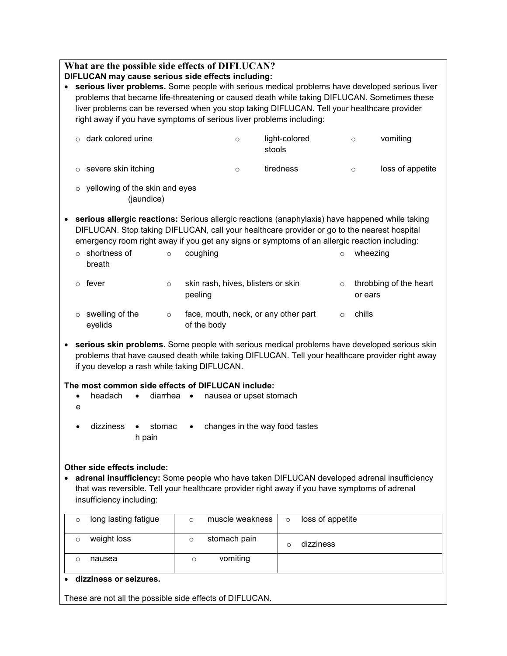|                                                                                                                                                                                                                                                                                                 | What are the possible side effects of DIFLUCAN?<br>DIFLUCAN may cause serious side effects including:                                                                                       |          |                                                     |                         |                         |                  |          |                        |
|-------------------------------------------------------------------------------------------------------------------------------------------------------------------------------------------------------------------------------------------------------------------------------------------------|---------------------------------------------------------------------------------------------------------------------------------------------------------------------------------------------|----------|-----------------------------------------------------|-------------------------|-------------------------|------------------|----------|------------------------|
| serious liver problems. Some people with serious medical problems have developed serious liver                                                                                                                                                                                                  |                                                                                                                                                                                             |          |                                                     |                         |                         |                  |          |                        |
|                                                                                                                                                                                                                                                                                                 | problems that became life-threatening or caused death while taking DIFLUCAN. Sometimes these<br>liver problems can be reversed when you stop taking DIFLUCAN. Tell your healthcare provider |          |                                                     |                         |                         |                  |          |                        |
| right away if you have symptoms of serious liver problems including:                                                                                                                                                                                                                            |                                                                                                                                                                                             |          |                                                     |                         |                         |                  |          |                        |
| $\circ$                                                                                                                                                                                                                                                                                         | dark colored urine                                                                                                                                                                          |          |                                                     | $\circ$                 | light-colored<br>stools |                  | $\circ$  | vomiting               |
| $\circ$                                                                                                                                                                                                                                                                                         | severe skin itching                                                                                                                                                                         |          |                                                     | $\circ$                 | tiredness               |                  | $\circ$  | loss of appetite       |
| yellowing of the skin and eyes<br>$\circ$<br>(jaundice)                                                                                                                                                                                                                                         |                                                                                                                                                                                             |          |                                                     |                         |                         |                  |          |                        |
| serious allergic reactions: Serious allergic reactions (anaphylaxis) have happened while taking<br>DIFLUCAN. Stop taking DIFLUCAN, call your healthcare provider or go to the nearest hospital<br>emergency room right away if you get any signs or symptoms of an allergic reaction including: |                                                                                                                                                                                             |          |                                                     |                         |                         |                  |          |                        |
| breath                                                                                                                                                                                                                                                                                          | $\circ$ shortness of                                                                                                                                                                        | $\circ$  | coughing                                            |                         |                         | $\circ$          | wheezing |                        |
| fever<br>$\circ$                                                                                                                                                                                                                                                                                |                                                                                                                                                                                             | $\circ$  | skin rash, hives, blisters or skin<br>peeling       |                         |                         | $\circ$          | or ears  | throbbing of the heart |
| $\circ$<br>eyelids                                                                                                                                                                                                                                                                              | swelling of the                                                                                                                                                                             | $\circ$  | face, mouth, neck, or any other part<br>of the body |                         |                         | $\circ$          | chills   |                        |
| serious skin problems. Some people with serious medical problems have developed serious skin<br>problems that have caused death while taking DIFLUCAN. Tell your healthcare provider right away<br>if you develop a rash while taking DIFLUCAN.                                                 |                                                                                                                                                                                             |          |                                                     |                         |                         |                  |          |                        |
| The most common side effects of DIFLUCAN include:                                                                                                                                                                                                                                               |                                                                                                                                                                                             |          |                                                     |                         |                         |                  |          |                        |
| е                                                                                                                                                                                                                                                                                               | headach                                                                                                                                                                                     | diarrhea | $\bullet$                                           | nausea or upset stomach |                         |                  |          |                        |
| changes in the way food tastes<br>dizziness<br>stomac<br>h pain                                                                                                                                                                                                                                 |                                                                                                                                                                                             |          |                                                     |                         |                         |                  |          |                        |
| Other side effects include:<br>adrenal insufficiency: Some people who have taken DIFLUCAN developed adrenal insufficiency<br>that was reversible. Tell your healthcare provider right away if you have symptoms of adrenal<br>insufficiency including:                                          |                                                                                                                                                                                             |          |                                                     |                         |                         |                  |          |                        |
| $\circ$                                                                                                                                                                                                                                                                                         | long lasting fatigue                                                                                                                                                                        |          | $\circ$                                             | muscle weakness         | $\circ$                 | loss of appetite |          |                        |
| $\circ$                                                                                                                                                                                                                                                                                         | weight loss                                                                                                                                                                                 |          | $\circ$                                             | stomach pain            | $\circ$                 | dizziness        |          |                        |
| $\circ$                                                                                                                                                                                                                                                                                         | nausea                                                                                                                                                                                      |          | $\circ$                                             | vomiting                |                         |                  |          |                        |
|                                                                                                                                                                                                                                                                                                 | dizziness or seizures.                                                                                                                                                                      |          |                                                     |                         |                         |                  |          |                        |

These are not all the possible side effects of DIFLUCAN.